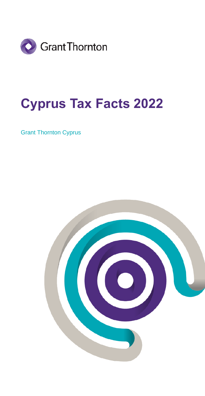

## **Cyprus Tax Facts 2022**

Grant Thornton Cyprus

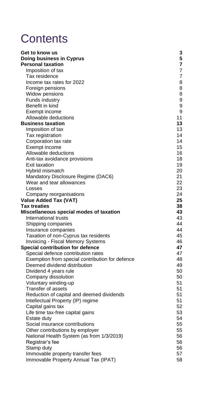## **Contents**

| Get to know us                                  | 3  |
|-------------------------------------------------|----|
| Doing business in Cyprus                        | 5  |
| <b>Personal taxation</b>                        | 7  |
| Imposition of tax                               | 7  |
| Tax residence                                   | 7  |
| Income tax rates for 2022                       | 8  |
| Foreign pensions                                | 8  |
| Widow pensions                                  | 8  |
| Funds industry                                  | 9  |
| Benefit in kind                                 | 9  |
| Exempt income                                   | 9  |
| Allowable deductions                            | 11 |
| <b>Business taxation</b>                        | 13 |
| Imposition of tax                               | 13 |
| Tax registration                                | 14 |
| Corporation tax rate                            | 14 |
| Exempt income                                   | 15 |
| Allowable deductions                            | 16 |
| Anti-tax avoidance provisions                   | 18 |
| Exit taxation                                   | 19 |
| Hybrid mismatch                                 | 20 |
| Mandatory Disclosure Regime (DAC6)              | 21 |
| Wear and tear allowances                        | 22 |
| Losses                                          | 23 |
| Company reorganisations                         | 24 |
| Value Added Tax (VAT)                           | 25 |
| <b>Tax treaties</b>                             | 38 |
| Miscellaneous special modes of taxation         | 43 |
| International trusts                            | 43 |
| Shipping companies                              | 44 |
| Insurance companies                             | 44 |
| Taxation of non-Cyprus tax residents            | 45 |
| <b>Invoicing - Fiscal Memory Systems</b>        | 46 |
| Special contribution for defence                | 47 |
| Special defence contribution rates              | 47 |
| Exemption from special contribution for defence | 48 |
| Deemed dividend distribution                    | 49 |
| Dividend 4 years rule                           | 50 |
| Company dissolution                             | 50 |
| Voluntary winding-up                            | 51 |
| Transfer of assets                              | 51 |
| Reduction of capital and deemed dividends       | 51 |
| Intellectual Property (IP) regime               | 51 |
| Capital gains tax                               | 52 |
| Life time tax-free capital gains                | 53 |
| Estate duty                                     | 54 |
| Social insurance contributions                  | 55 |
| Other contributions by employer                 | 55 |
| National Health System (as from 1/3/2019)       | 56 |
| Registrar's fee                                 | 56 |
| Stamp duty                                      | 56 |
| Immovable property transfer fees                | 57 |
| Immovable Property Annual Tax (IPAT)            | 58 |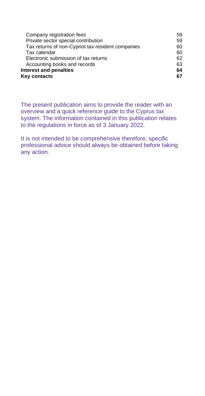| Company registration fees                         | 59 |
|---------------------------------------------------|----|
| Private sector special contribution               | 59 |
| Tax returns of non-Cypriot tax resident companies | 60 |
| Tax calendar                                      | 60 |
| Electronic submission of tax returns              | 62 |
| Accounting books and records                      | 63 |
| Interest and penalties                            | 64 |
| Key contacts                                      | 67 |
|                                                   |    |

The present publication aims to provide the reader with an overview and a quick reference guide to the Cyprus tax system. The information contained in this publication relates to the regulations in force as of 3 January 2022.

It is not intended to be comprehensive therefore, specific professional advice should always be obtained before taking any action.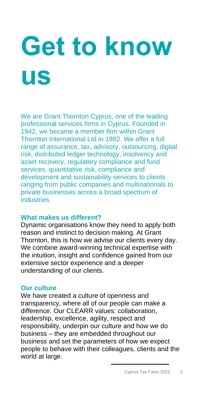# <span id="page-3-0"></span>**Get to know us**

We are Grant Thornton Cyprus, one of the leading professional services firms in Cyprus. Founded in 1942, we became a member firm within Grant Thornton International Ltd in 1982. We offer a full range of assurance, tax, advisory, outsourcing, digital risk, distributed ledger technology, insolvency and asset recovery, regulatory compliance and fund services, quantitative risk, compliance and development and sustainability services to clients ranging from public companies and multinationals to private businesses across a broad spectrum of industries.

## **What makes us different?**

Dynamic organisations know they need to apply both reason and instinct to decision making. At Grant Thornton, this is how we advise our clients every day. We combine award-winning technical expertise with the intuition, insight and confidence gained from our extensive sector experience and a deeper understanding of our clients.

## **Our culture**

We have created a culture of openness and transparency, where all of our people can make a difference. Our CLEARR values: collaboration, leadership, excellence, agility, respect and responsibility, underpin our culture and how we do business – they are embedded throughout our business and set the parameters of how we expect people to behave with their colleagues, clients and the world at large.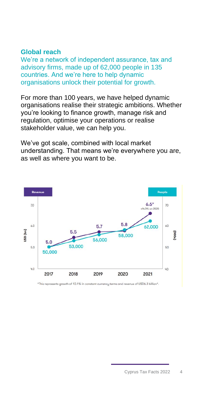## **Global reach**

We're a network of independent assurance, tax and advisory firms, made up of 62,000 people in 135 countries. And we're here to help dynamic organisations unlock their potential for growth.

For more than 100 years, we have helped dynamic organisations realise their strategic ambitions. Whether you're looking to finance growth, manage risk and regulation, optimise your operations or realise stakeholder value, we can help you.

We've got scale, combined with local market understanding. That means we're everywhere you are, as well as where you want to be.



\*This represents growth of 10.1% in constant currency terms and revenue of USD6.3 billion\*.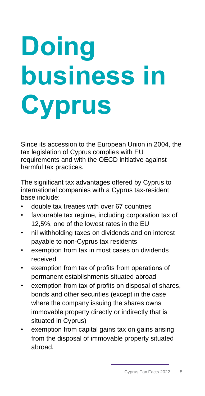# <span id="page-5-0"></span>**Doing business in Cyprus**

Since its accession to the European Union in 2004, the tax legislation of Cyprus complies with EU requirements and with the OECD initiative against harmful tax practices.

The significant tax advantages offered by Cyprus to international companies with a Cyprus tax-resident base include:

- double tax treaties with over 67 countries
- favourable tax regime, including corporation tax of 12,5%, one of the lowest rates in the EU
- nil withholding taxes on dividends and on interest payable to non-Cyprus tax residents
- exemption from tax in most cases on dividends received
- exemption from tax of profits from operations of permanent establishments situated abroad
- exemption from tax of profits on disposal of shares, bonds and other securities (except in the case where the company issuing the shares owns immovable property directly or indirectly that is situated in Cyprus)
- exemption from capital gains tax on gains arising from the disposal of immovable property situated abroad.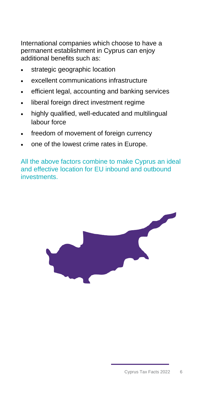International companies which choose to have a permanent establishment in Cyprus can enjoy additional benefits such as:

- strategic geographic location
- excellent communications infrastructure
- efficient legal, accounting and banking services
- liberal foreign direct investment regime
- highly qualified, well-educated and multilingual labour force
- freedom of movement of foreign currency
- one of the lowest crime rates in Europe.

All the above factors combine to make Cyprus an ideal and effective location for EU inbound and outbound investments.

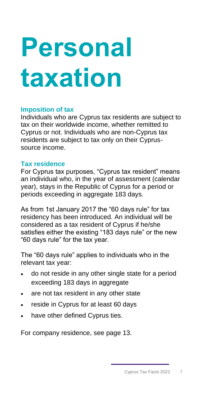# <span id="page-7-0"></span>**Personal taxation**

## <span id="page-7-1"></span>**Imposition of tax**

Individuals who are Cyprus tax residents are subject to tax on their worldwide income, whether remitted to Cyprus or not. Individuals who are non-Cyprus tax residents are subject to tax only on their Cyprussource income.

## <span id="page-7-2"></span>**Tax residence**

For Cyprus tax purposes, "Cyprus tax resident" means an individual who, in the year of assessment (calendar year), stays in the Republic of Cyprus for a period or periods exceeding in aggregate 183 days.

As from 1st January 2017 the "60 days rule" for tax residency has been introduced. An individual will be considered as a tax resident of Cyprus if he/she satisfies either the existing "183 days rule" or the new "60 days rule" for the tax year.

The "60 days rule" applies to individuals who in the relevant tax year:

- do not reside in any other single state for a period exceeding 183 days in aggregate
- are not tax resident in any other state
- reside in Cyprus for at least 60 days
- have other defined Cyprus ties.

For company residence, see page 13.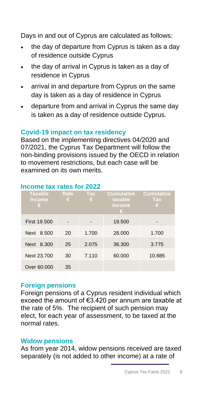Days in and out of Cyprus are calculated as follows:

- the day of departure from Cyprus is taken as a day of residence outside Cyprus
- the day of arrival in Cyprus is taken as a day of residence in Cyprus
- arrival in and departure from Cyprus on the same day is taken as a day of residence in Cyprus
- departure from and arrival in Cyprus the same day is taken as a day of residence outside Cyprus.

## **Covid-19 impact on tax residency**

Based on the implementing directives 04/2020 and 07/2021, the Cyprus Tax Department will follow the non-binding provisions issued by the OECD in relation to movement restrictions, but each case will be examined on its own merits.

| <b>Taxable</b><br><b>Income</b><br>€ | Rate<br>€ | Tax<br>€ | Cumulative<br>taxable<br><u>Income</u><br>€ | <b>Cumulative</b><br><b>Tax</b><br>ε |
|--------------------------------------|-----------|----------|---------------------------------------------|--------------------------------------|
| <b>First 19.500</b>                  |           |          | 19.500                                      |                                      |
| Next 8.500                           | 20        | 1.700    | 28,000                                      | 1.700                                |
| Next 8.300                           | 25        | 2.075    | 36.300                                      | 3.775                                |
| Next 23,700                          | 30        | 7.110    | 60.000                                      | 10.885                               |
| Over 60,000                          | 35        |          |                                             |                                      |

## <span id="page-8-0"></span>**Income tax rates for 2022**

## <span id="page-8-1"></span>**Foreign pensions**

Foreign pensions of a Cyprus resident individual which exceed the amount of €3.420 per annum are taxable at the rate of 5%. The recipient of such pension may elect, for each year of assessment, to be taxed at the normal rates.

## <span id="page-8-2"></span>**Widow pensions**

As from year 2014, widow pensions received are taxed separately (is not added to other income) at a rate of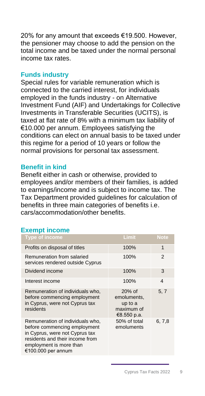20% for any amount that exceeds €19.500. However, the pensioner may choose to add the pension on the total income and be taxed under the normal personal income tax rates.

## <span id="page-9-0"></span>**Funds industry**

Special rules for variable remuneration which is connected to the carried interest, for individuals employed in the funds industry - on Alternative Investment Fund (AIF) and Undertakings for Collective Investments in Transferable Securities (UCITS), is taxed at flat rate of 8% with a minimum tax liability of €10.000 per annum. Employees satisfying the conditions can elect on annual basis to be taxed under this regime for a period of 10 years or follow the normal provisions for personal tax assessment.

## <span id="page-9-1"></span>**Benefit in kind**

Benefit either in cash or otherwise, provided to employees and/or members of their families, is added to earnings/income and is subject to income tax. The Tax Department provided guidelines for calculation of benefits in three main categories of benefits i.e. cars/accommodation/other benefits.

## <span id="page-9-2"></span>**Exempt income**

| <b>Type of income</b>                                                                                                                                                                  | Limit                                                         | <b>Note</b> |
|----------------------------------------------------------------------------------------------------------------------------------------------------------------------------------------|---------------------------------------------------------------|-------------|
| Profits on disposal of titles                                                                                                                                                          | 100%                                                          | 1           |
| Remuneration from salaried<br>services rendered outside Cyprus                                                                                                                         | 100%                                                          | 2           |
| Dividend income                                                                                                                                                                        | 100%                                                          | 3           |
| Interest income                                                                                                                                                                        | 100%                                                          | 4           |
| Remuneration of individuals who,<br>before commencing employment<br>in Cyprus, were not Cyprus tax<br>residents                                                                        | 20% of<br>emoluments,<br>up to a<br>maximum of<br>€8.550 p.a. | 5, 7        |
| Remuneration of individuals who,<br>before commencing employment<br>in Cyprus, were not Cyprus tax<br>residents and their income from<br>employment is more than<br>€100.000 per annum | 50% of total<br>emoluments                                    | 6, 7, 8     |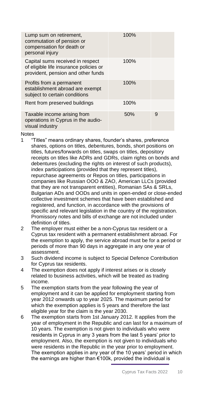| Lump sum on retirement,<br>commutation of pension or<br>compensation for death or<br>personal injury             | 100% |   |
|------------------------------------------------------------------------------------------------------------------|------|---|
| Capital sums received in respect<br>of eligible life insurance policies or<br>provident, pension and other funds | 100% |   |
| Profits from a permanent<br>establishment abroad are exempt<br>subject to certain conditions                     | 100% |   |
| Rent from preserved buildings                                                                                    | 100% |   |
| Taxable income arising from<br>operations in Cyprus in the audio-<br>visual industry                             | 50%  | 9 |
|                                                                                                                  |      |   |

Notes

- 1 "Titles" means ordinary shares, founder's shares, preference shares, options on titles, debentures, bonds, short positions on titles, futures/forwards on titles, swaps on titles, depository receipts on titles like ADRs and GDRs, claim rights on bonds and debentures (excluding the rights on interest of such products), index participations (provided that they represent titles), repurchase agreements or Repos on titles, participations in companies like Russian OOO & ZAO, American LLCs (provided that they are not transparent entities), Romanian SAs & SRLs, Bulgarian ADs and OODs and units in open-ended or close-ended collective investment schemes that have been established and registered, and function, in accordance with the provisions of specific and relevant legislation in the country of the registration. Promissory notes and bills of exchange are not included under definition of titles.
- 2 The employer must either be a non-Cyprus tax resident or a Cyprus tax resident with a permanent establishment abroad. For the exemption to apply, the service abroad must be for a period or periods of more than 90 days in aggregate in any one year of assessment.
- 3 Such dividend income is subject to Special Defence Contribution for Cyprus tax residents.
- 4 The exemption does not apply if interest arises or is closely related to business activities, which will be treated as trading income.
- 5 The exemption starts from the year following the year of employment and it can be applied for employment starting from year 2012 onwards up to year 2025. The maximum period for which the exemption applies is 5 years and therefore the last eligible year for the claim is the year 2030.
- 6 The exemption starts from 1st January 2012. It applies from the year of employment in the Republic and can last for a maximum of 10 years. The exemption is not given to individuals who were residents in Cyprus in any 3 years from the last 5 years' prior to employment. Also, the exemption is not given to individuals who were residents in the Republic in the year prior to employment. The exemption applies in any year of the 10 years' period in which the earnings are higher than €100k, provided the individual is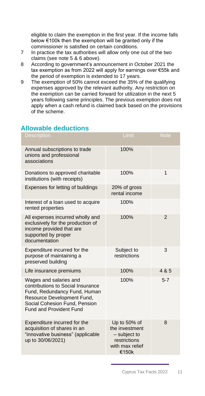eligible to claim the exemption in the first year. If the income falls below €100k then the exemption will be granted only if the commissioner is satisfied on certain conditions.

- 7 In practice the tax authorities will allow only one out of the two claims (see note 5 & 6 above).
- 8 According to government's announcement in October 2021 the tax exemption as from 2022 will apply for earnings over €55k and the period of exemption is extended to 17 years.
- 9 The exemption of 50% cannot exceed the 35% of the qualifying expenses approved by the relevant authority. Any restriction on the exemption can be carried forward for utilization in the next 5 years following same principles. The previous exemption does not apply when a cash refund is claimed back based on the provisions of the scheme.

## <span id="page-11-0"></span>**Allowable deductions**

| <b>Description</b>                                                                                                                                                                           | Limit                                                                                        | <b>Note</b>    |
|----------------------------------------------------------------------------------------------------------------------------------------------------------------------------------------------|----------------------------------------------------------------------------------------------|----------------|
| Annual subscriptions to trade<br>unions and professional<br>associations                                                                                                                     | 100%                                                                                         |                |
| Donations to approved charitable<br>institutions (with receipts)                                                                                                                             | 100%                                                                                         | 1              |
| Expenses for letting of buildings                                                                                                                                                            | 20% of gross<br>rental income                                                                |                |
| Interest of a loan used to acquire<br>rented properties                                                                                                                                      | 100%                                                                                         |                |
| All expenses incurred wholly and<br>exclusively for the production of<br>income provided that are<br>supported by proper<br>documentation                                                    | 100%                                                                                         | $\overline{2}$ |
| Expenditure incurred for the<br>purpose of maintaining a<br>preserved building                                                                                                               | Subject to<br>restrictions                                                                   | 3              |
| Life insurance premiums                                                                                                                                                                      | 100%                                                                                         | 4 & 5          |
| Wages and salaries and<br>contributions to Social Insurance<br>Fund, Redundancy Fund, Human<br>Resource Development Fund,<br>Social Cohesion Fund, Pension<br><b>Fund and Provident Fund</b> | 100%                                                                                         | $5 - 7$        |
| Expenditure incurred for the<br>acquisition of shares in an<br>"innovative business" (applicable<br>up to 30/06/2021)                                                                        | Up to 50% of<br>the investment<br>$-$ subject to<br>restrictions<br>with max relief<br>€150k | 8              |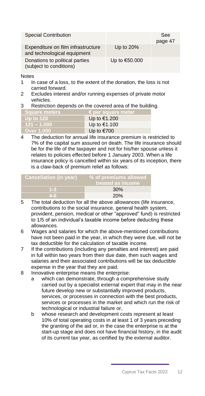| <b>Special Contribution</b>                                       |               | See<br>page 47 |
|-------------------------------------------------------------------|---------------|----------------|
| Expenditure on film infrastructure<br>and technological equipment | Up to 20%     |                |
| Donations to political parties<br>(subject to conditions)         | Up to €50.000 |                |

Notes

- 1 In case of a loss, to the extent of the donation, the loss is not carried forward.
- 2 Excludes interest and/or running expenses of private motor vehicles.
- 3 Restriction depends on the covered area of the building.

| <b>Square meters</b> | $\epsilon$ per square meter |
|----------------------|-----------------------------|
| <b>Up to 120</b>     | Up to €1.200                |
| <b>121 – 1.000</b> ا | Up to €1.100                |
| Over 1.000           | Up to €700                  |

4 The deduction for annual life insurance premium is restricted to 7% of the capital sum assured on death. The life insurance should be for the life of the taxpayer and not for his/her spouse unless it relates to policies effected before 1 January 2003. When a life insurance policy is cancelled within six years of its inception, there is a claw-back of premium relief as follows:

| <b>Cancellation (in year)</b> | % of premiums allowed<br>treated as income |
|-------------------------------|--------------------------------------------|
| $1 - 3$                       | 30%                                        |
| $4 - 6$                       | 20%                                        |

- 5 The total deduction for all the above allowances (life insurance, contributions to the social insurance, general health system, provident, pension, medical or other "approved" fund) is restricted to 1/5 of an individual's taxable income before deducting these allowances.
- 6 Wages and salaries for which the above-mentioned contributions have not been paid in the year, in which they were due, will not be tax deductible for the calculation of taxable income.
- 7 If the contributions (including any penalties and interest) are paid in full within two years from their due date, then such wages and salaries and their associated contributions will be tax deductible expense in the year that they are paid.
- 8 Innovative enterprise means the enterprise:
	- a which can demonstrate, through a comprehensive study carried out by a specialist external expert that may in the near future develop new or substantially improved products, services, or processes in connection with the best products, services or processes in the market and which run the risk of technological or industrial failure or,
	- b whose research and development costs represent at least 10% of total operating costs in at least 1 of 3 years preceding the granting of the aid or, in the case the enterprise is at the start-up stage and does not have financial history, in the audit of its current tax year, as certified by the external auditor.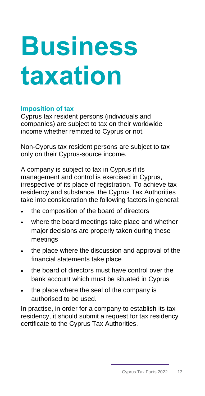# <span id="page-13-0"></span>**Business taxation**

## <span id="page-13-1"></span>**Imposition of tax**

Cyprus tax resident persons (individuals and companies) are subject to tax on their worldwide income whether remitted to Cyprus or not.

Non-Cyprus tax resident persons are subject to tax only on their Cyprus-source income.

A company is subject to tax in Cyprus if its management and control is exercised in Cyprus, irrespective of its place of registration. To achieve tax residency and substance, the Cyprus Tax Authorities take into consideration the following factors in general:

- the composition of the board of directors
- where the board meetings take place and whether major decisions are properly taken during these meetings
- the place where the discussion and approval of the financial statements take place
- the board of directors must have control over the bank account which must be situated in Cyprus
- the place where the seal of the company is authorised to be used.

In practise, in order for a company to establish its tax residency, it should submit a request for tax residency certificate to the Cyprus Tax Authorities.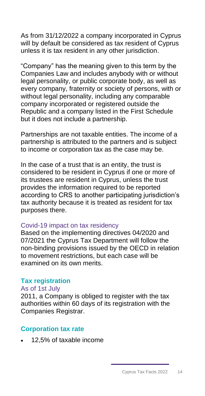As from 31/12/2022 a company incorporated in Cyprus will by default be considered as tax resident of Cyprus unless it is tax resident in any other jurisdiction.

"Company" has the meaning given to this term by the Companies Law and includes anybody with or without legal personality, or public corporate body, as well as every company, fraternity or society of persons, with or without legal personality, including any comparable company incorporated or registered outside the Republic and a company listed in the First Schedule but it does not include a partnership.

Partnerships are not taxable entities. The income of a partnership is attributed to the partners and is subject to income or corporation tax as the case may be.

In the case of a trust that is an entity, the trust is considered to be resident in Cyprus if one or more of its trustees are resident in Cyprus, unless the trust provides the information required to be reported according to CRS to another participating jurisdiction's tax authority because it is treated as resident for tax purposes there.

## Covid-19 impact on tax residency

Based on the implementing directives 04/2020 and 07/2021 the Cyprus Tax Department will follow the non-binding provisions issued by the OECD in relation to movement restrictions, but each case will be examined on its own merits.

## <span id="page-14-0"></span>**Tax registration**

## As of 1st July

2011, a Company is obliged to register with the tax authorities within 60 days of its registration with the Companies Registrar.

## <span id="page-14-1"></span>**Corporation tax rate**

• 12,5% of taxable income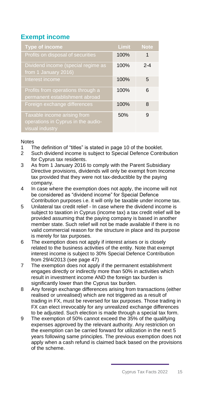## <span id="page-15-0"></span>**Exempt income**

| <b>Type of income</b>                                                                | Limit | <b>Note</b> |
|--------------------------------------------------------------------------------------|-------|-------------|
| Profits on disposal of securities                                                    | 100%  | 1           |
| Dividend income (special regime as<br>from 1 January 2016)                           | 100%  | $2 - 4$     |
| Interest income                                                                      | 100%  | 5           |
| Profits from operations through a<br>permanent establishment abroad                  | 100%  | 6           |
| Foreign exchange differences                                                         | 100%  | 8           |
| Taxable income arising from<br>operations in Cyprus in the audio-<br>visual industry | 50%   | 9           |

## Notes

- 1 The definition of "titles" is stated in page 10 of the booklet.<br>2 Such dividend income is subiect to Special Defence Contr
- Such dividend income is subject to Special Defence Contribution for Cyprus tax residents.
- 3 As from 1 January 2016 to comply with the Parent Subsidiary Directive provisions, dividends will only be exempt from Income tax provided that they were not tax-deductible by the paying company.
- 4 In case where the exemption does not apply, the income will not be considered as "dividend income" for Special Defence Contribution purposes i.e. it will only be taxable under income tax.
- 5 Unilateral tax credit relief In case where the dividend income is subject to taxation in Cyprus (income tax) a tax credit relief will be provided assuming that the paying company is based in another member state. Such relief will not be made available if there is no valid commercial reason for the structure in place and its purpose is merely for tax purposes.
- 6 The exemption does not apply if interest arises or is closely related to the business activities of the entity. Note that exempt interest income is subject to 30% Special Defence Contribution from 29/4/2013 (see page 47)
- 7 The exemption does not apply if the permanent establishment engages directly or indirectly more than 50% in activities which result in investment income AND the foreign tax burden is significantly lower than the Cyprus tax burden.
- 8 Any foreign exchange differences arising from transactions (either realised or unrealised) which are not triggered as a result of trading in FX, must be reversed for tax purposes. Those trading in FX can elect irrevocably for any unrealized exchange differences to be adjusted. Such election is made through a special tax form.
- 9 The exemption of 50% cannot exceed the 35% of the qualifying expenses approved by the relevant authority. Any restriction on the exemption can be carried forward for utilization in the next 5 years following same principles. The previous exemption does not apply when a cash refund is claimed back based on the provisions of the scheme.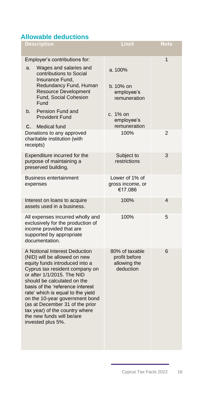## <span id="page-16-0"></span>**Allowable deductions**

| <b>Description</b>                                                                                                                                                                                                                                                                                                                                                                                                               | Limit                                                        | <b>Note</b>    |
|----------------------------------------------------------------------------------------------------------------------------------------------------------------------------------------------------------------------------------------------------------------------------------------------------------------------------------------------------------------------------------------------------------------------------------|--------------------------------------------------------------|----------------|
| Employer's contributions for:                                                                                                                                                                                                                                                                                                                                                                                                    |                                                              | $\mathbf 1$    |
| Wages and salaries and<br>a.<br>contributions to Social<br>Insurance Fund.                                                                                                                                                                                                                                                                                                                                                       | a. 100%                                                      |                |
| Redundancy Fund, Human<br><b>Resource Development</b><br>Fund, Social Cohesion<br>Fund                                                                                                                                                                                                                                                                                                                                           | b. 10% on<br>employee's<br>remuneration                      |                |
| Pension Fund and<br>b.<br><b>Provident Fund</b>                                                                                                                                                                                                                                                                                                                                                                                  | c. 1% on<br>employee's                                       |                |
| Medical fund<br>C.                                                                                                                                                                                                                                                                                                                                                                                                               | remuneration                                                 |                |
| Donations to any approved<br>charitable institution (with<br>receipts)                                                                                                                                                                                                                                                                                                                                                           | 100%                                                         | $\overline{2}$ |
| Expenditure incurred for the<br>purpose of maintaining a<br>preserved building.                                                                                                                                                                                                                                                                                                                                                  | Subject to<br>restrictions                                   | 3              |
| <b>Business entertainment</b><br>expenses                                                                                                                                                                                                                                                                                                                                                                                        | Lower of 1% of<br>gross income, or<br>€17.086                |                |
| Interest on loans to acquire<br>assets used in a business.                                                                                                                                                                                                                                                                                                                                                                       | 100%                                                         | 4              |
| All expenses incurred wholly and<br>exclusively for the production of<br>income provided that are<br>supported by appropriate<br>documentation.                                                                                                                                                                                                                                                                                  | 100%                                                         | 5              |
| A Notional Interest Deduction<br>(NID) will be allowed on new<br>equity funds introduced into a<br>Cyprus tax resident company on<br>or after 1/1/2015. The NID<br>should be calculated on the<br>basis of the 'reference interest<br>rate' which is equal to the yield<br>on the 10-year government bond<br>(as at December 31 of the prior<br>tax year) of the country where<br>the new funds will be/are<br>invested plus 5%. | 80% of taxable<br>profit before<br>allowing the<br>deduction | 6              |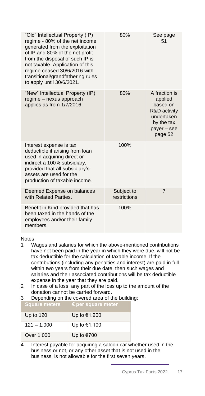| "Old" Intellectual Property (IP)<br>regime - 80% of the net income<br>generated from the exploitation<br>of IP and 80% of the net profit<br>from the disposal of such IP is<br>not taxable. Application of this<br>regime ceased 30/6/2016 with<br>transitional/grandfathering rules<br>to apply until 30/6/2021. | 80%                        | See page<br>51                                                                                             |
|-------------------------------------------------------------------------------------------------------------------------------------------------------------------------------------------------------------------------------------------------------------------------------------------------------------------|----------------------------|------------------------------------------------------------------------------------------------------------|
| "New" Intellectual Property (IP)<br>regime - nexus approach<br>applies as from 1/7/2016.                                                                                                                                                                                                                          | 80%                        | A fraction is<br>applied<br>based on<br>R&D activity<br>undertaken<br>by the tax<br>payer – see<br>page 52 |
| Interest expense is tax<br>deductible if arising from loan<br>used in acquiring direct or<br>indirect a 100% subsidiary,<br>provided that all subsidiary's<br>assets are used for the<br>production of taxable income.                                                                                            | 100%                       |                                                                                                            |
| Deemed Expense on balances<br>with Related Parties.                                                                                                                                                                                                                                                               | Subject to<br>restrictions | $\overline{7}$                                                                                             |
| Benefit in Kind provided that has<br>been taxed in the hands of the<br>employees and/or their family<br>members.                                                                                                                                                                                                  | 100%                       |                                                                                                            |

## Notes

- 1 Wages and salaries for which the above-mentioned contributions have not been paid in the year in which they were due, will not be tax deductible for the calculation of taxable income. If the contributions (including any penalties and interest) are paid in full within two years from their due date, then such wages and salaries and their associated contributions will be tax deductible expense in the year that they are paid.
- 2 In case of a loss, any part of the loss up to the amount of the donation cannot be carried forward.

## 3 Depending on the covered area of the building:

| <b>Square meters</b> | $\epsilon$ per square meter |
|----------------------|-----------------------------|
| Up to $120$          | Up to €1.200                |
| $121 - 1.000$        | Up to €1.100                |
| Over 1,000           | Up to €700                  |

4 Interest payable for acquiring a saloon car whether used in the business or not, or any other asset that is not used in the business, is not allowable for the first seven years.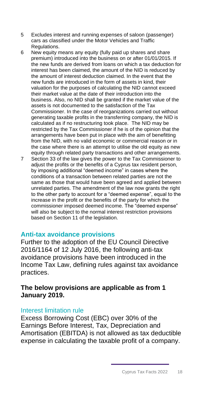- 5 Excludes interest and running expenses of saloon (passenger) cars as classified under the Motor Vehicles and Traffic Regulations.
- 6 New equity means any equity (fully paid up shares and share premium) introduced into the business on or after 01/01/2015. If the new funds are derived from loans on which a tax deduction for interest has been claimed, the amount of the NID is reduced by the amount of interest deduction claimed. In the event that the new funds are introduced in the form of assets in kind, their valuation for the purposes of calculating the NID cannot exceed their market value at the date of their introduction into the business. Also, no NID shall be granted if the market value of the assets is not documented to the satisfaction of the Tax Commissioner. In the case of reorganizations carried out without generating taxable profits in the transferring company, the NID is calculated as if no restructuring took place. The NID may be restricted by the Tax Commissioner if he is of the opinion that the arrangements have been put in place with the aim of benefitting from the NID, with no valid economic or commercial reason or in the case where there is an attempt to utilise the old equity as new equity through related party transactions and other arrangements.
- 7 Section 33 of the law gives the power to the Tax Commissioner to adjust the profits or the benefits of a Cyprus tax resident person, by imposing additional "deemed income" in cases where the conditions of a transaction between related parties are not the same as those that would have been agreed and applied between unrelated parties. The amendment of the law now grants the right to the other party to account for a "deemed expense", equal to the increase in the profit or the benefits of the party for which the commissioner imposed deemed income. The "deemed expense" will also be subject to the normal interest restriction provisions based on Section 11 of the legislation.

## <span id="page-18-0"></span>**Anti-tax avoidance provisions**

Further to the adoption of the EU Council Directive 2016/1164 of 12 July 2016, the following anti-tax avoidance provisions have been introduced in the Income Tax Law, defining rules against tax avoidance practices.

## **The below provisions are applicable as from 1 January 2019.**

## Interest limitation rule

Excess Borrowing Cost (EBC) over 30% of the Earnings Before Interest, Tax, Depreciation and Amortisation (EBITDA) is not allowed as tax deductible expense in calculating the taxable profit of a company.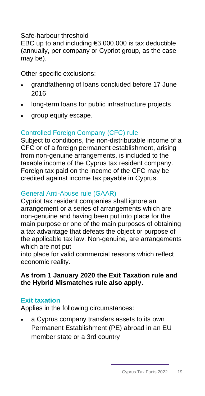## Safe-harbour threshold

EBC up to and including €3.000.000 is tax deductible (annually, per company or Cypriot group, as the case may be).

Other specific exclusions:

- grandfathering of loans concluded before 17 June 2016
- long-term loans for public infrastructure projects
- group equity escape.

## Controlled Foreign Company (CFC) rule

Subject to conditions, the non-distributable income of a CFC or of a foreign permanent establishment, arising from non-genuine arrangements, is included to the taxable income of the Cyprus tax resident company. Foreign tax paid on the income of the CFC may be credited against income tax payable in Cyprus.

## General Anti-Abuse rule (GAAR)

Cypriot tax resident companies shall ignore an arrangement or a series of arrangements which are non-genuine and having been put into place for the main purpose or one of the main purposes of obtaining a tax advantage that defeats the object or purpose of the applicable tax law. Non-genuine, are arrangements which are not put

into place for valid commercial reasons which reflect economic reality.

## **As from 1 January 2020 the Exit Taxation rule and the Hybrid Mismatches rule also apply.**

## <span id="page-19-0"></span>**Exit taxation**

Applies in the following circumstances:

• a Cyprus company transfers assets to its own Permanent Establishment (PE) abroad in an EU member state or a 3rd country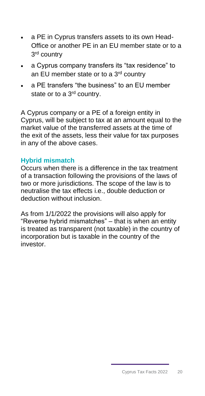- a PE in Cyprus transfers assets to its own Head-Office or another PE in an EU member state or to a 3<sup>rd</sup> country
- a Cyprus company transfers its "tax residence" to an EU member state or to a 3<sup>rd</sup> country
- a PE transfers "the business" to an EU member state or to a 3<sup>rd</sup> country.

A Cyprus company or a PE of a foreign entity in Cyprus, will be subject to tax at an amount equal to the market value of the transferred assets at the time of the exit of the assets, less their value for tax purposes in any of the above cases.

## <span id="page-20-0"></span>**Hybrid mismatch**

Occurs when there is a difference in the tax treatment of a transaction following the provisions of the laws of two or more jurisdictions. The scope of the law is to neutralise the tax effects i.e., double deduction or deduction without inclusion.

As from 1/1/2022 the provisions will also apply for "Reverse hybrid mismatches" – that is when an entity is treated as transparent (not taxable) in the country of incorporation but is taxable in the country of the investor.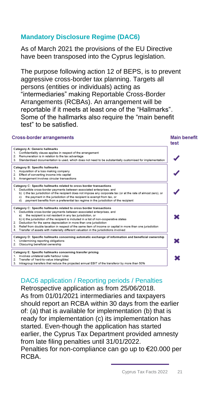## **Mandatory Disclosure Regime (DAC6)**

As of March 2021 the provisions of the EU Directive have been transposed into the Cyprus legislation.

The purpose following action 12 of BEPS, is to prevent aggressive cross-border tax planning. Targets all persons (entities or individuals) acting as "intermediaries" making Reportable Cross-Border Arrangements (RCBAs). An arrangement will be reportable if it meets at least one of the "Hallmarks". Some of the hallmarks also require the "main benefit test" to be satisfied.

## **Cross-border arrangements**



## DAC6 application / Reporting periods / Penalties

Retrospective application as from 25/06/2018. As from 01/01/2021 intermediaries and taxpayers should report an RCBA within 30 days from the earlier of: (a) that is available for implementation (b) that is ready for implementation (c) its implementation has started. Even-though the application has started earlier, the Cyprus Tax Department provided amnesty from late filing penalties until 31/01/2022.

Penalties for non-compliance can go up to €20.000 per RCBA.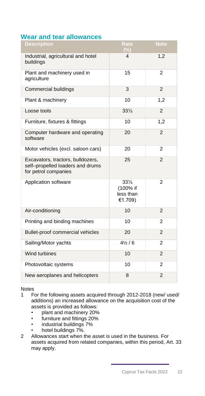## <span id="page-22-0"></span>**Wear and tear allowances**

| <b>Description</b>                                                                            | Rate<br>(%)                                         | <b>Note</b>    |
|-----------------------------------------------------------------------------------------------|-----------------------------------------------------|----------------|
| Industrial, agricultural and hotel<br>buildings                                               | 4                                                   | 1,2            |
| Plant and machinery used in<br>agriculture                                                    | 15                                                  | $\overline{2}$ |
| Commercial buildings                                                                          | 3                                                   | 2              |
| Plant & machinery                                                                             | 10                                                  | 1,2            |
| Loose tools                                                                                   | $33\frac{1}{3}$                                     | 2              |
| Furniture, fixtures & fittings                                                                | 10                                                  | 1,2            |
| Computer hardware and operating<br>software                                                   | 20                                                  | $\overline{2}$ |
| Motor vehicles (excl. saloon cars)                                                            | 20                                                  | $\overline{2}$ |
| Excavators, tractors, bulldozers,<br>self-propelled loaders and drums<br>for petrol companies | 25                                                  | $\overline{2}$ |
| Application software                                                                          | $33\frac{1}{3}$<br>(100% if<br>less than<br>€1.709) | 2              |
| Air-conditioning                                                                              | 10                                                  | $\overline{2}$ |
| Printing and binding machines                                                                 | 10                                                  | 2              |
| Bullet-proof commercial vehicles                                                              | 20                                                  | $\overline{2}$ |
| Sailing/Motor yachts                                                                          | $4\frac{1}{2}$ / 6                                  | $\overline{2}$ |
| Wind turbines                                                                                 | 10                                                  | 2              |
| Photovoltaic systems                                                                          | 10                                                  | 2              |
| New aeroplanes and helicopters                                                                | 8                                                   | $\overline{2}$ |

Notes

- 1 For the following assets acquired through 2012-2018 (new/ used/ additions) an increased allowance on the acquisition cost of the assets is provided as follows:
	- plant and machinery 20%<br>• furniture and fittings 20%
	- furniture and fittings 20%
	- industrial buildings 7%
	- hotel buildings 7%.
- 2 Allowances start when the asset is used in the business. For assets acquired from related companies, within this period, Art. 33 may apply.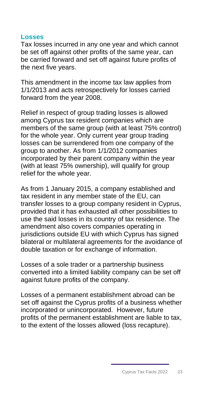## <span id="page-23-0"></span>**Losses**

Tax losses incurred in any one year and which cannot be set off against other profits of the same year, can be carried forward and set off against future profits of the next five years.

This amendment in the income tax law applies from 1/1/2013 and acts retrospectively for losses carried forward from the year 2008.

Relief in respect of group trading losses is allowed among Cyprus tax resident companies which are members of the same group (with at least 75% control) for the whole year. Only current year group trading losses can be surrendered from one company of the group to another. As from 1/1/2012 companies incorporated by their parent company within the year (with at least 75% ownership), will qualify for group relief for the whole year.

As from 1 January 2015, a company established and tax resident in any member state of the EU, can transfer losses to a group company resident in Cyprus, provided that it has exhausted all other possibilities to use the said losses in its country of tax residence. The amendment also covers companies operating in jurisdictions outside EU with which Cyprus has signed bilateral or multilateral agreements for the avoidance of double taxation or for exchange of information.

Losses of a sole trader or a partnership business converted into a limited liability company can be set off against future profits of the company.

Losses of a permanent establishment abroad can be set off against the Cyprus profits of a business whether incorporated or unincorporated. However, future profits of the permanent establishment are liable to tax, to the extent of the losses allowed (loss recapture).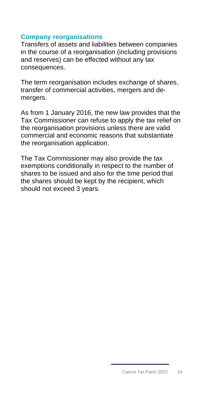## <span id="page-24-0"></span>**Company reorganisations**

Transfers of assets and liabilities between companies in the course of a reorganisation (including provisions and reserves) can be effected without any tax consequences.

The term reorganisation includes exchange of shares, transfer of commercial activities, mergers and demergers.

As from 1 January 2016, the new law provides that the Tax Commissioner can refuse to apply the tax relief on the reorganisation provisions unless there are valid commercial and economic reasons that substantiate the reorganisation application.

The Tax Commissioner may also provide the tax exemptions conditionally in respect to the number of shares to be issued and also for the time period that the shares should be kept by the recipient, which should not exceed 3 years.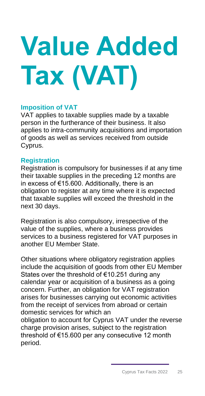# <span id="page-25-0"></span>**Value Added Tax (VAT)**

## **Imposition of VAT**

VAT applies to taxable supplies made by a taxable person in the furtherance of their business. It also applies to intra-community acquisitions and importation of goods as well as services received from outside Cyprus.

## **Registration**

Registration is compulsory for businesses if at any time their taxable supplies in the preceding 12 months are in excess of €15.600. Additionally, there is an obligation to register at any time where it is expected that taxable supplies will exceed the threshold in the next 30 days.

Registration is also compulsory, irrespective of the value of the supplies, where a business provides services to a business registered for VAT purposes in another EU Member State.

Other situations where obligatory registration applies include the acquisition of goods from other EU Member States over the threshold of €10.251 during any calendar year or acquisition of a business as a going concern. Further, an obligation for VAT registration arises for businesses carrying out economic activities from the receipt of services from abroad or certain domestic services for which an

obligation to account for Cyprus VAT under the reverse charge provision arises, subject to the registration threshold of €15.600 per any consecutive 12 month period.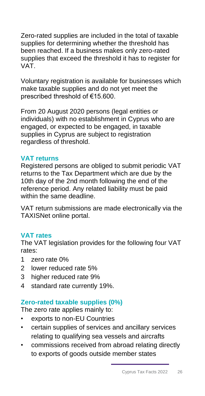Zero-rated supplies are included in the total of taxable supplies for determining whether the threshold has been reached. If a business makes only zero-rated supplies that exceed the threshold it has to register for VAT.

Voluntary registration is available for businesses which make taxable supplies and do not yet meet the prescribed threshold of €15.600.

From 20 August 2020 persons (legal entities or individuals) with no establishment in Cyprus who are engaged, or expected to be engaged, in taxable supplies in Cyprus are subject to registration regardless of threshold.

## **VAT returns**

Registered persons are obliged to submit periodic VAT returns to the Tax Department which are due by the 10th day of the 2nd month following the end of the reference period. Any related liability must be paid within the same deadline.

VAT return submissions are made electronically via the TAXISNet online portal.

## **VAT rates**

The VAT legislation provides for the following four VAT rates:

- 1 zero rate 0%
- 2 lower reduced rate 5%
- 3 higher reduced rate 9%
- 4 standard rate currently 19%.

## **Zero-rated taxable supplies (0%)**

The zero rate applies mainly to:

- exports to non-EU Countries
- certain supplies of services and ancillary services relating to qualifying sea vessels and aircrafts
- commissions received from abroad relating directly to exports of goods outside member states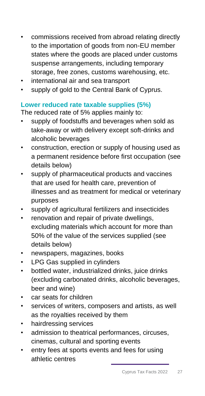- commissions received from abroad relating directly to the importation of goods from non-EU member states where the goods are placed under customs suspense arrangements, including temporary storage, free zones, customs warehousing, etc.
- international air and sea transport
- supply of gold to the Central Bank of Cyprus.

## **Lower reduced rate taxable supplies (5%)**

The reduced rate of 5% applies mainly to:

- supply of foodstuffs and beverages when sold as take-away or with delivery except soft-drinks and alcoholic beverages
- construction, erection or supply of housing used as a permanent residence before first occupation (see details below)
- supply of pharmaceutical products and vaccines that are used for health care, prevention of illnesses and as treatment for medical or veterinary purposes
- supply of agricultural fertilizers and insecticides
- renovation and repair of private dwellings, excluding materials which account for more than 50% of the value of the services supplied (see details below)
- newspapers, magazines, books
- LPG Gas supplied in cylinders
- bottled water, industrialized drinks, juice drinks (excluding carbonated drinks, alcoholic beverages, beer and wine)
- car seats for children
- services of writers, composers and artists, as well as the royalties received by them
- hairdressing services
- admission to theatrical performances, circuses, cinemas, cultural and sporting events
- entry fees at sports events and fees for using athletic centres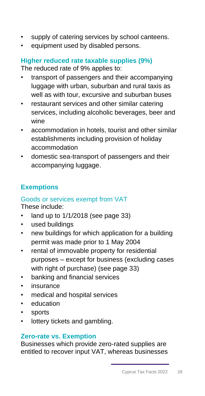- supply of catering services by school canteens.
- equipment used by disabled persons.

## **Higher reduced rate taxable supplies (9%)** The reduced rate of 9% applies to:

- transport of passengers and their accompanying luggage with urban, suburban and rural taxis as well as with tour, excursive and suburban buses
- restaurant services and other similar catering services, including alcoholic beverages, beer and wine
- accommodation in hotels, tourist and other similar establishments including provision of holiday accommodation
- domestic sea-transport of passengers and their accompanying luggage.

## **Exemptions**

## Goods or services exempt from VAT

These include:

- land up to 1/1/2018 (see page 33)
- used buildings
- new buildings for which application for a building permit was made prior to 1 May 2004
- rental of immovable property for residential purposes – except for business (excluding cases with right of purchase) (see page 33)
- banking and financial services
- insurance
- medical and hospital services
- education
- sports
- lottery tickets and gambling.

## **Zero-rate vs. Exemption**

Businesses which provide zero-rated supplies are entitled to recover input VAT, whereas businesses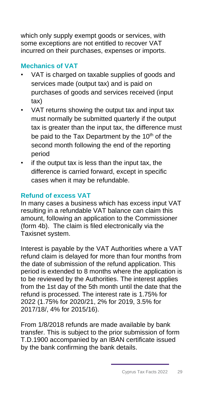which only supply exempt goods or services, with some exceptions are not entitled to recover VAT incurred on their purchases, expenses or imports.

## **Mechanics of VAT**

- VAT is charged on taxable supplies of goods and services made (output tax) and is paid on purchases of goods and services received (input tax)
- VAT returns showing the output tax and input tax must normally be submitted quarterly if the output tax is greater than the input tax, the difference must be paid to the Tax Department by the 10<sup>th</sup> of the second month following the end of the reporting period
- if the output tax is less than the input tax, the difference is carried forward, except in specific cases when it may be refundable.

## **Refund of excess VAT**

In many cases a business which has excess input VAT resulting in a refundable VAT balance can claim this amount, following an application to the Commissioner (form 4b). The claim is filed electronically via the Taxisnet system.

Interest is payable by the VAT Authorities where a VAT refund claim is delayed for more than four months from the date of submission of the refund application. This period is extended to 8 months where the application is to be reviewed by the Authorities. The interest applies from the 1st day of the 5th month until the date that the refund is processed. The interest rate is 1.75% for 2022 (1.75% for 2020/21, 2% for 2019, 3.5% for 2017/18/, 4% for 2015/16).

From 1/8/2018 refunds are made available by bank transfer. This is subject to the prior submission of form T.D.1900 accompanied by an IBAN certificate issued by the bank confirming the bank details.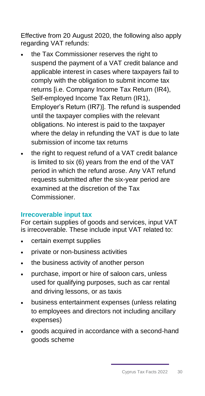Effective from 20 August 2020, the following also apply regarding VAT refunds:

- the Tax Commissioner reserves the right to suspend the payment of a VAT credit balance and applicable interest in cases where taxpayers fail to comply with the obligation to submit income tax returns [i.e. Company Income Tax Return (IR4), Self-employed Income Tax Return (IR1), Employer's Return (IR7)]. The refund is suspended until the taxpayer complies with the relevant obligations. No interest is paid to the taxpayer where the delay in refunding the VAT is due to late submission of income tax returns
- the right to request refund of a VAT credit balance is limited to six (6) years from the end of the VAT period in which the refund arose. Any VAT refund requests submitted after the six-year period are examined at the discretion of the Tax Commissioner.

## **Irrecoverable input tax**

For certain supplies of goods and services, input VAT is irrecoverable. These include input VAT related to:

- certain exempt supplies
- private or non-business activities
- the business activity of another person
- purchase, import or hire of saloon cars, unless used for qualifying purposes, such as car rental and driving lessons, or as taxis
- business entertainment expenses (unless relating to employees and directors not including ancillary expenses)
- goods acquired in accordance with a second-hand goods scheme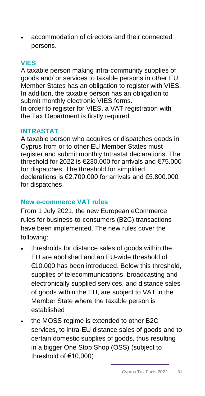• accommodation of directors and their connected persons.

## **VIES**

A taxable person making intra-community supplies of goods and/ or services to taxable persons in other EU Member States has an obligation to register with VIES. In addition, the taxable person has an obligation to submit monthly electronic VIES forms. In order to register for VIES, a VAT registration with the Tax Department is firstly required.

## **INTRASTAT**

A taxable person who acquires or dispatches goods in Cyprus from or to other EU Member States must register and submit monthly Intrastat declarations. The threshold for 2022 is €230.000 for arrivals and €75.000 for dispatches. The threshold for simplified declarations is €2.700.000 for arrivals and €5.800.000 for dispatches.

## **New e-commerce VAT rules**

From 1 July 2021, the new European eCommerce rules for business-to-consumers (B2C) transactions have been implemented. The new rules cover the following:

- thresholds for distance sales of goods within the EU are abolished and an EU-wide threshold of €10.000 has been introduced. Below this threshold, supplies of telecommunications, broadcasting and electronically supplied services, and distance sales of goods within the EU, are subject to VAT in the Member State where the taxable person is established
- the MOSS regime is extended to other B2C services, to intra-EU distance sales of goods and to certain domestic supplies of goods, thus resulting in a bigger One Stop Shop (OSS) (subject to threshold of €10,000)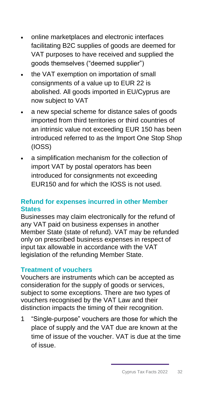- online marketplaces and electronic interfaces facilitating B2C supplies of goods are deemed for VAT purposes to have received and supplied the goods themselves ("deemed supplier")
- the VAT exemption on importation of small consignments of a value up to EUR 22 is abolished. All goods imported in EU/Cyprus are now subject to VAT
- a new special scheme for distance sales of goods imported from third territories or third countries of an intrinsic value not exceeding EUR 150 has been introduced referred to as the Import One Stop Shop (IOSS)
- a simplification mechanism for the collection of import VAT by postal operators has been introduced for consignments not exceeding EUR150 and for which the IOSS is not used.

## **Refund for expenses incurred in other Member States**

Businesses may claim electronically for the refund of any VAT paid on business expenses in another Member State (state of refund). VAT may be refunded only on prescribed business expenses in respect of input tax allowable in accordance with the VAT legislation of the refunding Member State.

## **Treatment of vouchers**

Vouchers are instruments which can be accepted as consideration for the supply of goods or services, subject to some exceptions. There are two types of vouchers recognised by the VAT Law and their distinction impacts the timing of their recognition.

1 "Single-purpose" vouchers are those for which the place of supply and the VAT due are known at the time of issue of the voucher. VAT is due at the time of issue.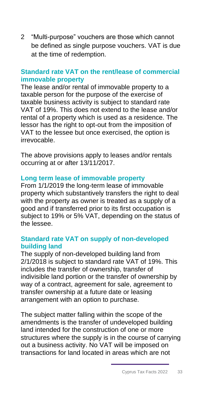2 "Multi-purpose" vouchers are those which cannot be defined as single purpose vouchers. VAT is due at the time of redemption.

## **Standard rate VAT on the rent/lease of commercial immovable property**

The lease and/or rental of immovable property to a taxable person for the purpose of the exercise of taxable business activity is subject to standard rate VAT of 19%. This does not extend to the lease and/or rental of a property which is used as a residence. The lessor has the right to opt-out from the imposition of VAT to the lessee but once exercised, the option is irrevocable.

The above provisions apply to leases and/or rentals occurring at or after 13/11/2017.

## **Long term lease of immovable property**

From 1/1/2019 the long-term lease of immovable property which substantively transfers the right to deal with the property as owner is treated as a supply of a good and if transferred prior to its first occupation is subject to 19% or 5% VAT, depending on the status of the lessee.

## **Standard rate VAT on supply of non-developed building land**

The supply of non-developed building land from 2/1/2018 is subject to standard rate VAT of 19%. This includes the transfer of ownership, transfer of indivisible land portion or the transfer of ownership by way of a contract, agreement for sale, agreement to transfer ownership at a future date or leasing arrangement with an option to purchase.

The subject matter falling within the scope of the amendments is the transfer of undeveloped building land intended for the construction of one or more structures where the supply is in the course of carrying out a business activity. No VAT will be imposed on transactions for land located in areas which are not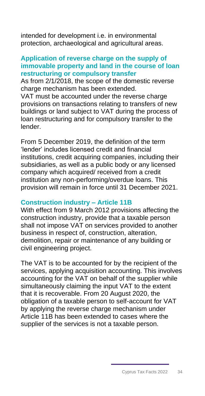intended for development i.e. in environmental protection, archaeological and agricultural areas.

## **Application of reverse charge on the supply of immovable property and land in the course of loan restructuring or compulsory transfer**

As from 2/1/2018, the scope of the domestic reverse charge mechanism has been extended. VAT must be accounted under the reverse charge provisions on transactions relating to transfers of new buildings or land subject to VAT during the process of loan restructuring and for compulsory transfer to the lender.

From 5 December 2019, the definition of the term 'lender' includes licensed credit and financial institutions, credit acquiring companies, including their subsidiaries, as well as a public body or any licensed company which acquired/ received from a credit institution any non-performing/overdue loans. This provision will remain in force until 31 December 2021.

## **Construction industry – Article 11B**

With effect from 9 March 2012 provisions affecting the construction industry, provide that a taxable person shall not impose VAT on services provided to another business in respect of, construction, alteration, demolition, repair or maintenance of any building or civil engineering project.

The VAT is to be accounted for by the recipient of the services, applying acquisition accounting. This involves accounting for the VAT on behalf of the supplier while simultaneously claiming the input VAT to the extent that it is recoverable. From 20 August 2020, the obligation of a taxable person to self-account for VAT by applying the reverse charge mechanism under Article 11B has been extended to cases where the supplier of the services is not a taxable person.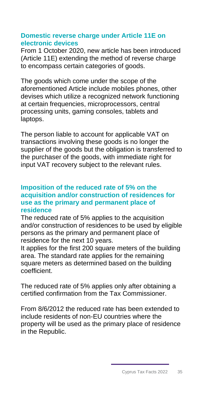## **Domestic reverse charge under Article 11E on electronic devices**

From 1 October 2020, new article has been introduced (Article 11E) extending the method of reverse charge to encompass certain categories of goods.

The goods which come under the scope of the aforementioned Article include mobiles phones, other devises which utilize a recognized network functioning at certain frequencies, microprocessors, central processing units, gaming consoles, tablets and laptops.

The person liable to account for applicable VAT on transactions involving these goods is no longer the supplier of the goods but the obligation is transferred to the purchaser of the goods, with immediate right for input VAT recovery subject to the relevant rules.

## **Imposition of the reduced rate of 5% on the acquisition and/or construction of residences for use as the primary and permanent place of residence**

The reduced rate of 5% applies to the acquisition and/or construction of residences to be used by eligible persons as the primary and permanent place of residence for the next 10 years.

It applies for the first 200 square meters of the building area. The standard rate applies for the remaining square meters as determined based on the building coefficient.

The reduced rate of 5% applies only after obtaining a certified confirmation from the Tax Commissioner.

From 8/6/2012 the reduced rate has been extended to include residents of non-EU countries where the property will be used as the primary place of residence in the Republic.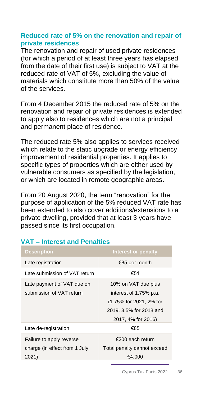## **Reduced rate of 5% on the renovation and repair of private residences**

The renovation and repair of used private residences (for which a period of at least three years has elapsed from the date of their first use) is subject to VAT at the reduced rate of VAT of 5%, excluding the value of materials which constitute more than 50% of the value of the services.

From 4 December 2015 the reduced rate of 5% on the renovation and repair of private residences is extended to apply also to residences which are not a principal and permanent place of residence.

The reduced rate 5% also applies to services received which relate to the static upgrade or energy efficiency improvement of residential properties. It applies to specific types of properties which are either used by vulnerable consumers as specified by the legislation, or which are located in remote geographic areas**.**

From 20 August 2020, the term "renovation" for the purpose of application of the 5% reduced VAT rate has been extended to also cover additions/extensions to a private dwelling, provided that at least 3 years have passed since its first occupation.

| <b>Description</b>                                                 | Interest or penalty                                                                                                       |
|--------------------------------------------------------------------|---------------------------------------------------------------------------------------------------------------------------|
| Late registration                                                  | €85 per month                                                                                                             |
| Late submission of VAT return                                      | €51                                                                                                                       |
| Late payment of VAT due on<br>submission of VAT return             | 10% on VAT due plus<br>interest of 1.75% p.a.<br>(1.75% for 2021, 2% for<br>2019, 3.5% for 2018 and<br>2017, 4% for 2016) |
| Late de-registration                                               | €85                                                                                                                       |
| Failure to apply reverse<br>charge (in effect from 1 July<br>2021) | €200 each return<br>Total penalty cannot exceed<br>€4.000                                                                 |

## **VAT – Interest and Penalties**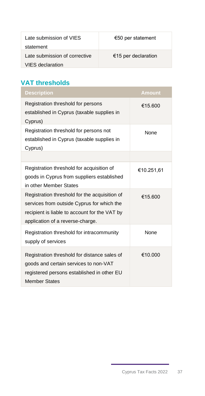| Late submission of VIES<br>statement | €50 per statement   |
|--------------------------------------|---------------------|
| Late submission of corrective        | €15 per declaration |
| VIES declaration                     |                     |

## **VAT thresholds**

| <b>Description</b>                                                                                                                                                               | <b>Amount</b> |
|----------------------------------------------------------------------------------------------------------------------------------------------------------------------------------|---------------|
| Registration threshold for persons<br>established in Cyprus (taxable supplies in<br>Cyprus)                                                                                      | €15.600       |
| Registration threshold for persons not<br>established in Cyprus (taxable supplies in<br>Cyprus)                                                                                  | None          |
|                                                                                                                                                                                  |               |
| Registration threshold for acquisition of<br>goods in Cyprus from suppliers established<br>in other Member States                                                                | €10.251,61    |
| Registration threshold for the acquisition of<br>services from outside Cyprus for which the<br>recipient is liable to account for the VAT by<br>application of a reverse-charge. | €15.600       |
| Registration threshold for intracommunity<br>supply of services                                                                                                                  | <b>None</b>   |
| Registration threshold for distance sales of<br>goods and certain services to non-VAT<br>registered persons established in other EU<br><b>Member States</b>                      | €10.000       |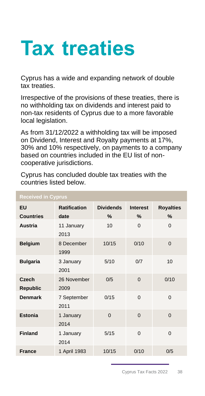## <span id="page-38-0"></span>**Tax treaties**

Cyprus has a wide and expanding network of double tax treaties.

Irrespective of the provisions of these treaties, there is no withholding tax on dividends and interest paid to non-tax residents of Cyprus due to a more favorable local legislation.

As from 31/12/2022 a withholding tax will be imposed on Dividend, Interest and Royalty payments at 17%, 30% and 10% respectively, on payments to a company based on countries included in the EU list of noncooperative jurisdictions.

| <b>Received in Cyprus</b>       |                     |                  |          |                  |
|---------------------------------|---------------------|------------------|----------|------------------|
| <b>EU</b>                       | <b>Ratification</b> | <b>Dividends</b> | Interest | <b>Royalties</b> |
| <b>Countries</b>                | date                | $\%$             | $\%$     | $\%$             |
| Austria                         | 11 January<br>2013  | 10               | $\Omega$ | $\Omega$         |
| <b>Belgium</b>                  | 8 December<br>1999  | 10/15            | 0/10     | $\Omega$         |
| <b>Bulgaria</b>                 | 3 January<br>2001   | 5/10             | 0/7      | 10               |
| <b>Czech</b><br><b>Republic</b> | 26 November<br>2009 | 0/5              | $\Omega$ | 0/10             |
| <b>Denmark</b>                  | 7 September<br>2011 | 0/15             | $\Omega$ | $\Omega$         |
| Estonia                         | 1 January<br>2014   | $\Omega$         | $\Omega$ | $\Omega$         |
| <b>Finland</b>                  | 1 January<br>2014   | 5/15             | $\Omega$ | $\Omega$         |
| <b>France</b>                   | 1 April 1983        | 10/15            | 0/10     | 0/5              |

Cyprus has concluded double tax treaties with the countries listed below.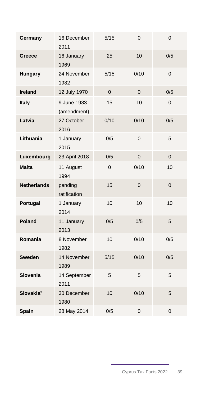| Germany               | 16 December<br>2011        | 5/15     | 0        | 0              |
|-----------------------|----------------------------|----------|----------|----------------|
| Greece                | 16 January<br>1969         | 25       | 10       | 0/5            |
| Hungary               | 24 November<br>1982        | 5/15     | 0/10     | $\Omega$       |
| <b>Ireland</b>        | 12 July 1970               | $\Omega$ | $\Omega$ | 0/5            |
| Italy                 | 9 June 1983<br>(amendment) | 15       | 10       | $\Omega$       |
| Latvia                | 27 October<br>2016         | 0/10     | 0/10     | 0/5            |
| Lithuania             | 1 January<br>2015          | 0/5      | 0        | 5              |
| Luxembourg            | 23 April 2018              | 0/5      | 0        | $\Omega$       |
| <b>Malta</b>          | 11 August<br>1994          | $\Omega$ | 0/10     | 10             |
| <b>Netherlands</b>    | pending<br>ratification    | 15       | $\Omega$ | $\Omega$       |
| Portugal              | 1 January<br>2014          | 10       | 10       | 10             |
| Poland                | 11 January<br>2013         | 0/5      | 0/5      | 5              |
| Romania               | 8 November<br>1982         | 10       | 0/10     | 0/5            |
| <b>Sweden</b>         | 14 November<br>1989        | 5/15     | 0/10     | 0/5            |
| Slovenia              | 14 September<br>2011       | 5        | 5        | 5              |
| Slovakia <sup>2</sup> | 30 December<br>1980        | 10       | 0/10     | 5              |
| Spain                 | 28 May 2014                | 0/5      | 0        | $\overline{0}$ |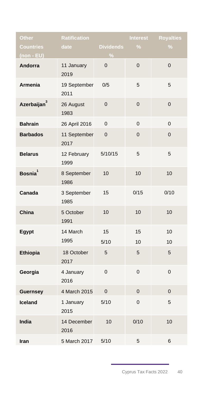| Other                   | <b>Ratification</b>  |                                   | <b>Interest</b> | <b>Royalties</b> |
|-------------------------|----------------------|-----------------------------------|-----------------|------------------|
| <b>Countries</b>        | date                 | <b>Dividends</b><br>$\frac{0}{6}$ | $\frac{0}{6}$   | $\frac{9}{6}$    |
| $(non - EU)$<br>Andorra | 11 January<br>2019   | 0                                 | $\overline{0}$  | $\overline{0}$   |
| <b>Armenia</b>          | 19 September<br>2011 | 0/5                               | 5               | 5                |
| Azerbaijan3             | 26 August<br>1983    | 0                                 | $\overline{0}$  | 0                |
| <b>Bahrain</b>          | 26 April 2016        | 0                                 | $\overline{0}$  | 0                |
| <b>Barbados</b>         | 11 September<br>2017 | $\mathbf 0$                       | $\mathbf 0$     | 0                |
| <b>Belarus</b>          | 12 February<br>1999  | 5/10/15                           | 5               | 5                |
| Bosnia <sup>1</sup>     | 8 September<br>1986  | 10                                | 10              | 10               |
| Canada                  | 3 September<br>1985  | 15                                | 0/15            | 0/10             |
| China                   | 5 October<br>1991    | 10                                | 10              | 10               |
| Egypt                   | 14 March<br>1995     | 15<br>5/10                        | 15<br>10        | 10<br>10         |
| Ethiopia                | 18 October<br>2017   | 5                                 | 5               | 5                |
| Georgia                 | 4 January<br>2016    | $\overline{0}$                    | 0               | 0                |
| <b>Guernsey</b>         | 4 March 2015         | $\mathbf{0}$                      | $\mathbf 0$     | 0                |
| Iceland                 | 1 January<br>2015    | 5/10                              | 0               | 5                |
| India                   | 14 December<br>2016  | 10                                | 0/10            | 10               |
| Iran                    | 5 March 2017         | 5/10                              | 5               | 6                |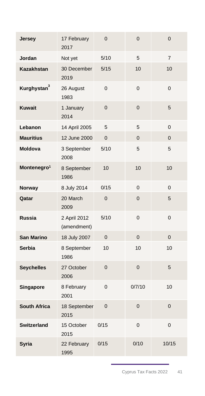| Jersey                  | 17 February<br>2017         | $\overline{0}$ | $\overline{0}$ | $\mathbf 0$    |
|-------------------------|-----------------------------|----------------|----------------|----------------|
| Jordan                  | Not yet                     | 5/10           | 5              | $\overline{7}$ |
| Kazakhstan              | 30 December<br>2019         | 5/15           | 10             | 10             |
| Kurghystan <sup>3</sup> | 26 August<br>1983           | 0              | 0              | 0              |
| <b>Kuwait</b>           | 1 January<br>2014           | $\overline{0}$ | $\overline{0}$ | 5              |
| Lebanon                 | 14 April 2005               | 5              | 5              | 0              |
| <b>Mauritius</b>        | 12 June 2000                | $\overline{0}$ | $\overline{0}$ | $\overline{0}$ |
| Moldova                 | 3 September<br>2008         | 5/10           | 5              | 5              |
| Montenegro <sup>1</sup> | 8 September<br>1986         | 10             | 10             | 10             |
| Norway                  | 8 July 2014                 | 0/15           | $\Omega$       | $\overline{0}$ |
| Qatar                   | 20 March<br>2009            | $\overline{0}$ | $\overline{0}$ | 5              |
| <b>Russia</b>           | 2 April 2012<br>(amendment) | 5/10           | $\overline{0}$ | $\overline{0}$ |
| <b>San Marino</b>       | 18 July 2007                | $\Omega$       | $\Omega$       | $\Omega$       |
| <b>Serbia</b>           | 8 September<br>1986         | 10             | 10             | 10             |
| <b>Seychelles</b>       | 27 October<br>2006          | $\Omega$       | $\overline{0}$ | 5              |
| Singapore               | 8 February<br>2001          | $\overline{0}$ | 0/7/10         | 10             |
| <b>South Africa</b>     | 18 September<br>2015        | $\overline{0}$ | $\overline{0}$ | $\overline{0}$ |
| <b>Switzerland</b>      | 15 October<br>2015          | 0/15           | 0              | 0              |
| Syria                   | 22 February<br>1995         | 0/15           | 0/10           | 10/15          |
|                         |                             |                |                |                |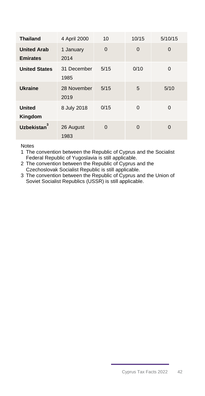| <b>Thailand</b>                       | 4 April 2000        | 10       | 10/15    | 5/10/15     |
|---------------------------------------|---------------------|----------|----------|-------------|
| <b>United Arab</b><br><b>Emirates</b> | 1 January<br>2014   | $\Omega$ | 0        | $\mathbf 0$ |
| <b>United States</b>                  | 31 December<br>1985 | 5/15     | 0/10     | $\Omega$    |
| <b>Ukraine</b>                        | 28 November<br>2019 | 5/15     | 5        | 5/10        |
| <b>United</b><br>Kingdom              | 8 July 2018         | 0/15     | 0        | $\Omega$    |
| <b>Uzbekistan</b>                     | 26 August<br>1983   | 0        | $\Omega$ | $\Omega$    |

Notes

1 The convention between the Republic of Cyprus and the Socialist Federal Republic of Yugoslavia is still applicable.

2 The convention between the Republic of Cyprus and the Czechoslovak Socialist Republic is still applicable.

<span id="page-42-0"></span>3 The convention between the Republic of Cyprus and the Union of Soviet Socialist Republics (USSR) is still applicable.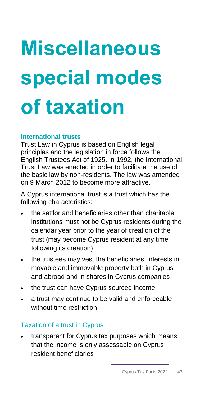# **Miscellaneous special modes of taxation**

## <span id="page-43-0"></span>**International trusts**

Trust Law in Cyprus is based on English legal principles and the legislation in force follows the English Trustees Act of 1925. In 1992, the International Trust Law was enacted in order to facilitate the use of the basic law by non-residents. The law was amended on 9 March 2012 to become more attractive.

A Cyprus international trust is a trust which has the following characteristics:

- the settlor and beneficiaries other than charitable institutions must not be Cyprus residents during the calendar year prior to the year of creation of the trust (may become Cyprus resident at any time following its creation)
- the trustees may vest the beneficiaries' interests in movable and immovable property both in Cyprus and abroad and in shares in Cyprus companies
- the trust can have Cyprus sourced income
- a trust may continue to be valid and enforceable without time restriction.

## Taxation of a trust in Cyprus

transparent for Cyprus tax purposes which means that the income is only assessable on Cyprus resident beneficiaries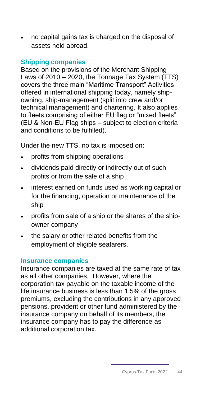• no capital gains tax is charged on the disposal of assets held abroad.

## <span id="page-44-0"></span>**Shipping companies**

Based on the provisions of the Merchant Shipping Laws of 2010 – 2020, the Tonnage Tax System (TTS) covers the three main "Maritime Transport" Activities offered in international shipping today, namely shipowning, ship-management (split into crew and/or technical management) and chartering. It also applies to fleets comprising of either EU flag or "mixed fleets" (EU & Non-EU Flag ships – subject to election criteria and conditions to be fulfilled).

Under the new TTS, no tax is imposed on:

- profits from shipping operations
- dividends paid directly or indirectly out of such profits or from the sale of a ship
- interest earned on funds used as working capital or for the financing, operation or maintenance of the ship
- profits from sale of a ship or the shares of the shipowner company
- the salary or other related benefits from the employment of eligible seafarers.

## <span id="page-44-1"></span>**Insurance companies**

Insurance companies are taxed at the same rate of tax as all other companies. However, where the corporation tax payable on the taxable income of the life insurance business is less than 1,5% of the gross premiums, excluding the contributions in any approved pensions, provident or other fund administered by the insurance company on behalf of its members, the insurance company has to pay the difference as additional corporation tax.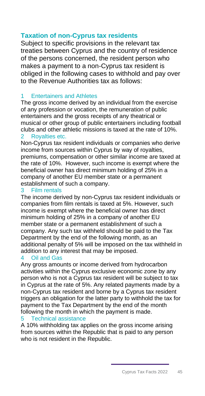## <span id="page-45-0"></span>**Taxation of non-Cyprus tax residents**

Subject to specific provisions in the relevant tax treaties between Cyprus and the country of residence of the persons concerned, the resident person who makes a payment to a non-Cyprus tax resident is obliged in the following cases to withhold and pay over to the Revenue Authorities tax as follows:

## **Entertainers and Athletes**

The gross income derived by an individual from the exercise of any profession or vocation, the remuneration of public entertainers and the gross receipts of any theatrical or musical or other group of public entertainers including football clubs and other athletic missions is taxed at the rate of 10%.

## 2 Royalties etc.

Non-Cyprus tax resident individuals or companies who derive income from sources within Cyprus by way of royalties, premiums, compensation or other similar income are taxed at the rate of 10%. However, such income is exempt where the beneficial owner has direct minimum holding of 25% in a company of another EU member state or a permanent establishment of such a company.

## 3 Film rentals

The income derived by non-Cyprus tax resident individuals or companies from film rentals is taxed at 5%. However, such income is exempt where the beneficial owner has direct minimum holding of 25% in a company of another EU member state or a permanent establishment of such a company. Any such tax withheld should be paid to the Tax Department by the end of the following month, as an additional penalty of 5% will be imposed on the tax withheld in addition to any interest that may be imposed.

## 4 Oil and Gas

Any gross amounts or income derived from hydrocarbon activities within the Cyprus exclusive economic zone by any person who is not a Cyprus tax resident will be subject to tax in Cyprus at the rate of 5%. Any related payments made by a non-Cyprus tax resident and borne by a Cyprus tax resident triggers an obligation for the latter party to withhold the tax for payment to the Tax Department by the end of the month following the month in which the payment is made.

## 5 Technical assistance

A 10% withholding tax applies on the gross income arising from sources within the Republic that is paid to any person who is not resident in the Republic.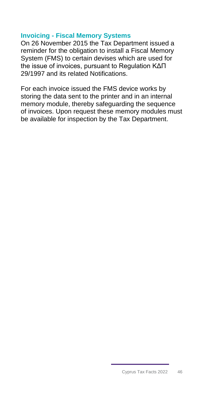## <span id="page-46-0"></span>**Invoicing - Fiscal Memory Systems**

On 26 November 2015 the Tax Department issued a reminder for the obligation to install a Fiscal Memory System (FMS) to certain devises which are used for the issue of invoices, pursuant to Regulation ΚΔΠ 29/1997 and its related Notifications.

For each invoice issued the FMS device works by storing the data sent to the printer and in an internal memory module, thereby safeguarding the sequence of invoices. Upon request these memory modules must be available for inspection by the Tax Department.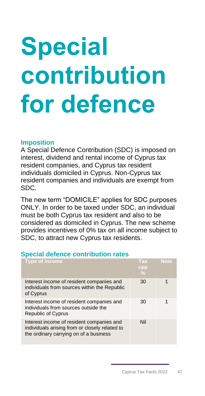# <span id="page-47-0"></span>**Special contribution for defence**

## **Imposition**

A Special Defence Contribution (SDC) is imposed on interest, dividend and rental income of Cyprus tax resident companies, and Cyprus tax resident individuals domiciled in Cyprus. Non-Cyprus tax resident companies and individuals are exempt from SDC.

The new term "DOMICILE" applies for SDC purposes ONLY. In order to be taxed under SDC, an individual must be both Cyprus tax resident and also to be considered as domiciled in Cyprus. The new scheme provides incentives of 0% tax on all income subject to SDC, to attract new Cyprus tax residents.

## <span id="page-47-1"></span>**Special defence contribution rates**

| Type of income                                                                                                                        | Tax<br>rate<br>$\frac{0}{2}$ | <b>Note</b> |
|---------------------------------------------------------------------------------------------------------------------------------------|------------------------------|-------------|
| Interest income of resident companies and<br>individuals from sources within the Republic<br>of Cyprus                                | 30                           |             |
| Interest income of resident companies and<br>individuals from sources outside the<br><b>Republic of Cyprus</b>                        | 30                           |             |
| Interest income of resident companies and<br>individuals arising from or closely related to<br>the ordinary carrying on of a business | Nil                          |             |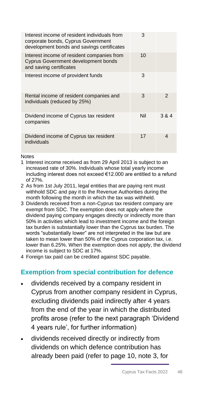| Interest income of resident individuals from<br>corporate bonds, Cyprus Government<br>development bonds and savings certificates | 3   |                |
|----------------------------------------------------------------------------------------------------------------------------------|-----|----------------|
| Interest income of resident companies from<br><b>Cyprus Government development bonds</b><br>and saving certificates              | 10  |                |
| Interest income of provident funds                                                                                               | 3   |                |
| Rental income of resident companies and<br>individuals (reduced by 25%)                                                          | 3   | $\mathfrak{p}$ |
| Dividend income of Cyprus tax resident<br>companies                                                                              | Nil | 3 & 4          |
| Dividend income of Cyprus tax resident<br>individuals                                                                            | 17  | 4              |

Notes

- 1 Interest income received as from 29 April 2013 is subject to an increased rate of 30%. Individuals whose total yearly income including interest does not exceed €12.000 are entitled to a refund of 27%.
- 2 As from 1st July 2011, legal entities that are paying rent must withhold SDC and pay it to the Revenue Authorities during the month following the month in which the tax was withheld.
- 3 Dividends received from a non-Cyprus tax resident company are exempt from SDC. The exemption does not apply where the dividend paying company engages directly or indirectly more than 50% in activities which lead to investment income and the foreign tax burden is substantially lower than the Cyprus tax burden. The words "substantially lower" are not interpreted in the law but are taken to mean lower than 50% of the Cyprus corporation tax, i.e. lower than 6.25%. When the exemption does not apply, the dividend income is subject to SDC at 17%.
- <span id="page-48-0"></span>4 Foreign tax paid can be credited against SDC payable.

## **Exemption from special contribution for defence**

- dividends received by a company resident in Cyprus from another company resident in Cyprus, excluding dividends paid indirectly after 4 years from the end of the year in which the distributed profits arose (refer to the next paragraph 'Dividend 4 years rule', for further information)
- dividends received directly or indirectly from dividends on which defence contribution has already been paid (refer to page 10, note 3, for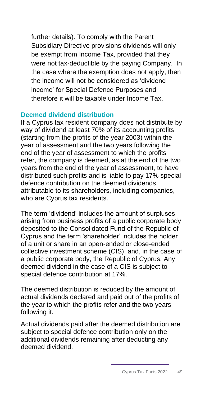further details). To comply with the Parent Subsidiary Directive provisions dividends will only be exempt from Income Tax, provided that they were not tax-deductible by the paying Company. In the case where the exemption does not apply, then the income will not be considered as 'dividend income' for Special Defence Purposes and therefore it will be taxable under Income Tax.

## <span id="page-49-0"></span>**Deemed dividend distribution**

If a Cyprus tax resident company does not distribute by way of dividend at least 70% of its accounting profits (starting from the profits of the year 2003) within the year of assessment and the two years following the end of the year of assessment to which the profits refer, the company is deemed, as at the end of the two years from the end of the year of assessment, to have distributed such profits and is liable to pay 17% special defence contribution on the deemed dividends attributable to its shareholders, including companies, who are Cyprus tax residents.

The term 'dividend' includes the amount of surpluses arising from business profits of a public corporate body deposited to the Consolidated Fund of the Republic of Cyprus and the term 'shareholder' includes the holder of a unit or share in an open-ended or close-ended collective investment scheme (CIS), and, in the case of a public corporate body, the Republic of Cyprus. Any deemed dividend in the case of a CIS is subject to special defence contribution at 17%.

The deemed distribution is reduced by the amount of actual dividends declared and paid out of the profits of the year to which the profits refer and the two years following it.

Actual dividends paid after the deemed distribution are subject to special defence contribution only on the additional dividends remaining after deducting any deemed dividend.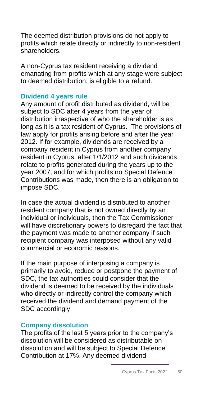The deemed distribution provisions do not apply to profits which relate directly or indirectly to non-resident shareholders.

A non-Cyprus tax resident receiving a dividend emanating from profits which at any stage were subject to deemed distribution, is eligible to a refund.

## <span id="page-50-0"></span>**Dividend 4 years rule**

Any amount of profit distributed as dividend, will be subject to SDC after 4 years from the year of distribution irrespective of who the shareholder is as long as it is a tax resident of Cyprus. The provisions of law apply for profits arising before and after the year 2012. If for example, dividends are received by a company resident in Cyprus from another company resident in Cyprus, after 1/1/2012 and such dividends relate to profits generated during the years up to the year 2007, and for which profits no Special Defence Contributions was made, then there is an obligation to impose SDC.

In case the actual dividend is distributed to another resident company that is not owned directly by an individual or individuals, then the Tax Commissioner will have discretionary powers to disregard the fact that the payment was made to another company if such recipient company was interposed without any valid commercial or economic reasons.

If the main purpose of interposing a company is primarily to avoid, reduce or postpone the payment of SDC, the tax authorities could consider that the dividend is deemed to be received by the individuals who directly or indirectly control the company which received the dividend and demand payment of the SDC accordingly.

## <span id="page-50-1"></span>**Company dissolution**

The profits of the last 5 years prior to the company's dissolution will be considered as distributable on dissolution and will be subject to Special Defence Contribution at 17%. Any deemed dividend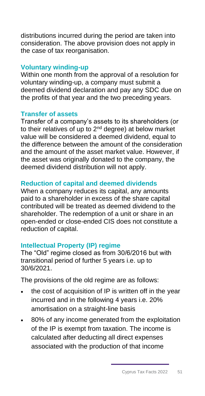distributions incurred during the period are taken into consideration. The above provision does not apply in the case of tax reorganisation.

## <span id="page-51-0"></span>**Voluntary winding-up**

Within one month from the approval of a resolution for voluntary winding-up, a company must submit a deemed dividend declaration and pay any SDC due on the profits of that year and the two preceding years.

## <span id="page-51-1"></span>**Transfer of assets**

Transfer of a company's assets to its shareholders (or to their relatives of up to 2nd degree) at below market value will be considered a deemed dividend, equal to the difference between the amount of the consideration and the amount of the asset market value. However, if the asset was originally donated to the company, the deemed dividend distribution will not apply.

## <span id="page-51-2"></span>**Reduction of capital and deemed dividends**

When a company reduces its capital, any amounts paid to a shareholder in excess of the share capital contributed will be treated as deemed dividend to the shareholder. The redemption of a unit or share in an open-ended or close-ended CIS does not constitute a reduction of capital.

## <span id="page-51-3"></span>**Intellectual Property (IP) regime**

The "Old" regime closed as from 30/6/2016 but with transitional period of further 5 years i.e. up to 30/6/2021.

The provisions of the old regime are as follows:

- the cost of acquisition of IP is written off in the year incurred and in the following 4 years i.e. 20% amortisation on a straight-line basis
- 80% of any income generated from the exploitation of the IP is exempt from taxation. The income is calculated after deducting all direct expenses associated with the production of that income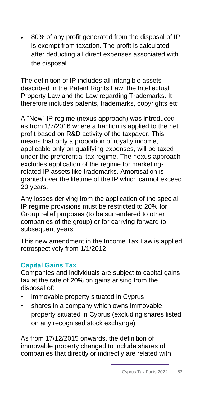• 80% of any profit generated from the disposal of IP is exempt from taxation. The profit is calculated after deducting all direct expenses associated with the disposal.

The definition of IP includes all intangible assets described in the Patent Rights Law, the Intellectual Property Law and the Law regarding Trademarks. It therefore includes patents, trademarks, copyrights etc.

A "New" IP regime (nexus approach) was introduced as from 1/7/2016 where a fraction is applied to the net profit based on R&D activity of the taxpayer. This means that only a proportion of royalty income, applicable only on qualifying expenses, will be taxed under the preferential tax regime. The nexus approach excludes application of the regime for marketingrelated IP assets like trademarks. Amortisation is granted over the lifetime of the IP which cannot exceed 20 years.

Any losses deriving from the application of the special IP regime provisions must be restricted to 20% for Group relief purposes (to be surrendered to other companies of the group) or for carrying forward to subsequent years.

This new amendment in the Income Tax Law is applied retrospectively from 1/1/2012.

## <span id="page-52-0"></span>**Capital Gains Tax**

Companies and individuals are subject to capital gains tax at the rate of 20% on gains arising from the disposal of:

- immovable property situated in Cyprus
- shares in a company which owns immovable property situated in Cyprus (excluding shares listed on any recognised stock exchange).

As from 17/12/2015 onwards, the definition of immovable property changed to include shares of companies that directly or indirectly are related with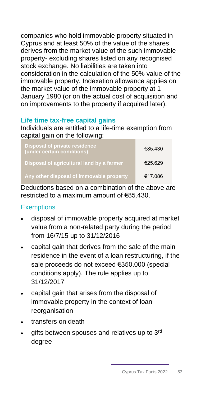companies who hold immovable property situated in Cyprus and at least 50% of the value of the shares derives from the market value of the such immovable property- excluding shares listed on any recognised stock exchange. No liabilities are taken into consideration in the calculation of the 50% value of the immovable property. Indexation allowance applies on the market value of the immovable property at 1 January 1980 (or on the actual cost of acquisition and on improvements to the property if acquired later).

## <span id="page-53-0"></span>**Life time tax-free capital gains**

Individuals are entitled to a life-time exemption from capital gain on the following:

| <b>Disposal of private residence</b><br>(under certain conditions) | €85.430 |
|--------------------------------------------------------------------|---------|
| Disposal of agricultural land by a farmer                          | €25.629 |
| Any other disposal of immovable property                           | €17.086 |

Deductions based on a combination of the above are restricted to a maximum amount of €85.430.

## **Exemptions**

- disposal of immovable property acquired at market value from a non-related party during the period from 16/7/15 up to 31/12/2016
- capital gain that derives from the sale of the main residence in the event of a loan restructuring, if the sale proceeds do not exceed €350.000 (special conditions apply). The rule applies up to 31/12/2017
- capital gain that arises from the disposal of immovable property in the context of loan reorganisation
- transfers on death
- gifts between spouses and relatives up to 3rd degree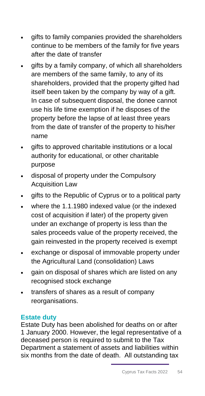- gifts to family companies provided the shareholders continue to be members of the family for five years after the date of transfer
- gifts by a family company, of which all shareholders are members of the same family, to any of its shareholders, provided that the property gifted had itself been taken by the company by way of a gift. In case of subsequent disposal, the donee cannot use his life time exemption if he disposes of the property before the lapse of at least three years from the date of transfer of the property to his/her name
- gifts to approved charitable institutions or a local authority for educational, or other charitable purpose
- disposal of property under the Compulsory Acquisition Law
- gifts to the Republic of Cyprus or to a political party
- where the 1.1.1980 indexed value (or the indexed cost of acquisition if later) of the property given under an exchange of property is less than the sales proceeds value of the property received, the gain reinvested in the property received is exempt
- exchange or disposal of immovable property under the Agricultural Land (consolidation) Laws
- gain on disposal of shares which are listed on any recognised stock exchange
- transfers of shares as a result of company reorganisations.

## <span id="page-54-0"></span>**Estate duty**

Estate Duty has been abolished for deaths on or after 1 January 2000. However, the legal representative of a deceased person is required to submit to the Tax Department a statement of assets and liabilities within six months from the date of death. All outstanding tax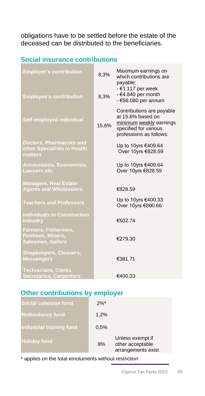obligations have to be settled before the estate of the deceased can be distributed to the beneficiaries.

## <span id="page-55-0"></span>**Social insurance contributions**

| <b>Employer's contribution</b><br><b>Employee's contribution</b>          | 8,3%<br>8,3% | Maximum earnings on<br>which contributions are<br>payable:<br>$-61.117$ per week<br>$-64.840$ per month<br>$-658.080$ per annum |
|---------------------------------------------------------------------------|--------------|---------------------------------------------------------------------------------------------------------------------------------|
| Self-employed individual                                                  | 15,6%        | Contributions are payable<br>at 15.6% based on<br>minimum weekly earnings<br>specified for various<br>professions as follows:   |
| <b>Doctors, Pharmacists and</b><br>other Specialists in Health<br>matters |              | Up to 10yrs €409.64<br>Over 10yrs €828.59                                                                                       |
| <b>Accountants, Economists,</b><br>Lawyers etc.                           |              | Up to 10yrs €409.64<br>Over 10yrs €828.59                                                                                       |
| <b>Managers, Real Estate</b><br><b>Agents and Wholesalers</b>             |              | €828.59                                                                                                                         |
| <b>Teachers and Professors</b>                                            |              | Up to 10yrs €400.33<br>Over 10yrs €800.66                                                                                       |
| <b>Individuals in Construction</b><br><b>Industry</b>                     |              | €502.74                                                                                                                         |
| Farmers, Fishermen,<br>Postmen, Miners,<br>Salesmen, Sailors              |              | €279.30                                                                                                                         |
| <b>Shopkeepers, Cleaners,</b><br><b>Messengers</b>                        |              | €381.71                                                                                                                         |
| <b>Technicians, Clerks,</b><br><b>Secretaries, Carpenters</b>             |              | €400.33                                                                                                                         |

## <span id="page-55-1"></span>**Other contributions by employer**

| <b>Social cohesion fund</b>     | $2\%$ * |                                                            |
|---------------------------------|---------|------------------------------------------------------------|
| <b>Redundancy fund</b>          | 1,2%    |                                                            |
| <b>Industrial training fund</b> | 0.5%    |                                                            |
| <b>Holiday fund</b>             | 8%      | Unless exempt if<br>other acceptable<br>arrangements exist |

\* applies on the total emoluments without restriction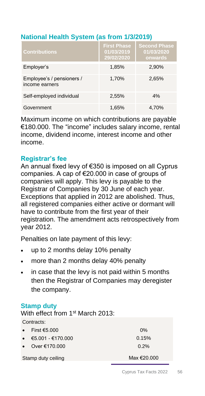## <span id="page-56-0"></span>**National Health System (as from 1/3/2019)**

| <b>Contributions</b>                        | <b>First Phase</b><br>01/03/2019<br>29/02/2020 | <b>Second Phase</b><br>01/03/2020<br>onwards |
|---------------------------------------------|------------------------------------------------|----------------------------------------------|
| Employer's                                  | 1,85%                                          | 2,90%                                        |
| Employee's / pensioners /<br>income earners | 1,70%                                          | 2,65%                                        |
| Self-employed individual                    | 2,55%                                          | 4%                                           |
| Government                                  | 1,65%                                          | 4.70%                                        |

Maximum income on which contributions are payable €180.000. The "income" includes salary income, rental income, dividend income, interest income and other income.

## <span id="page-56-1"></span>**Registrar's fee**

An annual fixed levy of €350 is imposed on all Cyprus companies. A cap of €20.000 in case of groups of companies will apply. This levy is payable to the Registrar of Companies by 30 June of each year. Exceptions that applied in 2012 are abolished. Thus, all registered companies either active or dormant will have to contribute from the first year of their registration. The amendment acts retrospectively from year 2012.

Penalties on late payment of this levy:

- up to 2 months delay 10% penalty
- more than 2 months delay 40% penalty
- in case that the levy is not paid within 5 months then the Registrar of Companies may deregister the company.

## <span id="page-56-2"></span>**Stamp duty**

With effect from 1<sup>st</sup> March 2013:

| Contracts:                       |             |
|----------------------------------|-------------|
| First €5.000<br>$\bullet$        | $0\%$       |
| $€5.001 - €170.000$<br>$\bullet$ | 0.15%       |
| Over €170,000<br>$\bullet$       | 0.2%        |
| Stamp duty ceiling               | Max €20,000 |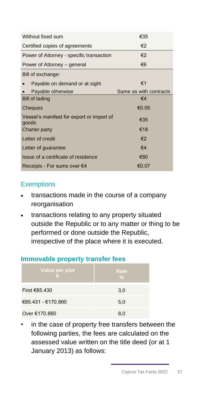| Without fixed sum                                  | €35                    |
|----------------------------------------------------|------------------------|
| Certified copies of agreements                     | €2                     |
| Power of Attorney - specific transaction           | €2                     |
| Power of Attorney – general                        | €6                     |
| Bill of exchange:                                  |                        |
| Payable on demand or at sight                      | €1                     |
| Payable otherwise                                  | Same as with contracts |
| <b>Bill of lading</b>                              | $\epsilon$ 4           |
| Cheques                                            | €0.05                  |
| Vessel's manifest for export or import of<br>goods | €35                    |
| <b>Charter party</b>                               | €18                    |
| Letter of credit                                   | €2                     |
| Letter of guarantee                                | $\epsilon$ 4           |
| Issue of a certificate of residence                | €80                    |
| Receipts - For sums over €4                        | €0.07                  |

## **Exemptions**

- transactions made in the course of a company reorganisation
- transactions relating to any property situated outside the Republic or to any matter or thing to be performed or done outside the Republic, irrespective of the place where it is executed.

## <span id="page-57-0"></span>**Immovable property transfer fees**

| Value per plot<br>€ | Rate<br>$\frac{0}{2}$ |
|---------------------|-----------------------|
| First €85.430       | 3,0                   |
| €85.431 - €170.860  | 5,0                   |
| Over €170.860       | 8.0                   |

in the case of property free transfers between the following parties, the fees are calculated on the assessed value written on the title deed (or at 1 January 2013) as follows: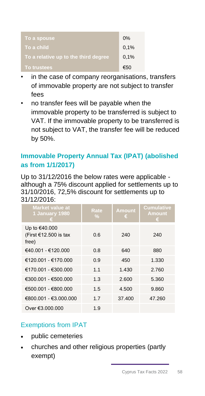| To a spouse                          | 0%   |
|--------------------------------------|------|
| To a child.                          | 0,1% |
| To a relative up to the third degree | 0,1% |
| To trustees,                         | €50  |

- in the case of company reorganisations, transfers of immovable property are not subject to transfer fees
- no transfer fees will be payable when the immovable property to be transferred is subject to VAT. If the immovable property to be transferred is not subject to VAT, the transfer fee will be reduced by 50%.

## <span id="page-58-0"></span>**Immovable Property Annual Tax (IPAT) (abolished as from 1/1/2017)**

Up to 31/12/2016 the below rates were applicable although a 75% discount applied for settlements up to 31/10/2016, 72,5% discount for settlements up to 31/12/2016:

| <b>Market value at</b><br>1 January 1980        | Rate<br>$\frac{0}{2}$ | <b>Amount</b><br>ε | <b>Cumulative</b><br><b>Amount</b><br>я |
|-------------------------------------------------|-----------------------|--------------------|-----------------------------------------|
| Up to €40.000<br>(First €12.500 is tax<br>free) | 0.6                   | 240                | 240                                     |
| $€40.001 - €120.000$                            | 0.8                   | 640                | 880                                     |
| €120.001 - €170.000                             | 0.9                   | 450                | 1.330                                   |
| €170.001 - €300.000                             | 1.1                   | 1.430              | 2.760                                   |
| €300.001 - €500.000                             | 1.3                   | 2.600              | 5.360                                   |
| €500.001 - €800.000                             | 1.5                   | 4.500              | 9.860                                   |
| €800.001 - €3.000.000                           | 17                    | 37.400             | 47.260                                  |
| Over €3.000.000                                 | 1.9                   |                    |                                         |

## Exemptions from IPAT

- public cemeteries
- churches and other religious properties (partly exempt)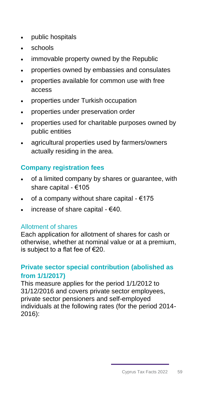- public hospitals
- schools
- immovable property owned by the Republic
- properties owned by embassies and consulates
- properties available for common use with free access
- properties under Turkish occupation
- properties under preservation order
- properties used for charitable purposes owned by public entities
- agricultural properties used by farmers/owners actually residing in the area.

## <span id="page-59-0"></span>**Company registration fees**

- of a limited company by shares or guarantee, with share capital - €105
- of a company without share capital €175
- increase of share capital  $-640$ .

## Allotment of shares

<span id="page-59-1"></span>Each application for allotment of shares for cash or otherwise, whether at nominal value or at a premium, is subject to a flat fee of €20.

## **Private sector special contribution (abolished as from 1/1/2017)**

This measure applies for the period 1/1/2012 to 31/12/2016 and covers private sector employees, private sector pensioners and self-employed individuals at the following rates (for the period 2014- 2016):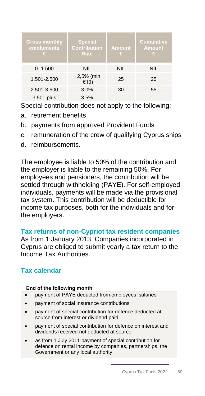| <b>Gross monthly</b><br>emoluments<br>€ | <b>Special</b><br><b>Contribution</b><br>Rate | <b>Amount</b><br>€ | <b>Cumulative</b><br><b>Amount</b><br>€ |
|-----------------------------------------|-----------------------------------------------|--------------------|-----------------------------------------|
| $0 - 1.500$                             | <b>NIL</b>                                    | <b>NIL</b>         | NIL                                     |
| 1.501-2.500                             | 2,5% (min<br>€10)                             | 25                 | 25                                      |
| 2.501-3.500                             | 3,0%                                          | 30                 | 55                                      |
| 3.501 plus                              | 3,5%                                          |                    |                                         |

Special contribution does not apply to the following:

- a. retirement benefits
- b. payments from approved Provident Funds
- c. remuneration of the crew of qualifying Cyprus ships
- d. reimbursements.

The employee is liable to 50% of the contribution and the employer is liable to the remaining 50%. For employees and pensioners, the contribution will be settled through withholding (PAYE). For self-employed individuals, payments will be made via the provisional tax system. This contribution will be deductible for income tax purposes, both for the individuals and for the employers.

## <span id="page-60-0"></span>**Tax returns of non-Cypriot tax resident companies**

As from 1 January 2013, Companies incorporated in Cyprus are obliged to submit yearly a tax return to the Income Tax Authorities.

## <span id="page-60-1"></span>**Tax calendar**

## **End of the following month**

- payment of PAYE deducted from employees' salaries
- payment of social insurance contributions
- payment of special contribution for defence deducted at source from interest or dividend paid
- payment of special contribution for defence on interest and dividends received not deducted at source
- as from 1 July 2011 payment of special contribution for defence on rental income by companies, partnerships, the Government or any local authority.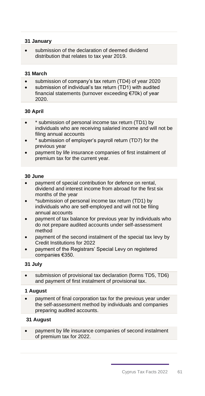## **31 January**

submission of the declaration of deemed dividend distribution that relates to tax year 2019.

## **31 March**

- submission of company's tax return (TD4) of year 2020
- submission of individual's tax return (TD1) with audited financial statements (turnover exceeding €70k) of year 2020.

## **30 April**

- \* submission of personal income tax return (TD1) by individuals who are receiving salaried income and will not be filing annual accounts
- \* submission of employer's payroll return (TD7) for the previous year
- payment by life insurance companies of first instalment of premium tax for the current year.

## **30 June**

- payment of special contribution for defence on rental, dividend and interest income from abroad for the first six months of the year
- \*submission of personal income tax return (TD1) by individuals who are self-employed and will not be filing annual accounts
- payment of tax balance for previous year by individuals who do not prepare audited accounts under self-assessment method
- payment of the second instalment of the special tax levy by Credit Institutions for 2022
- payment of the Registrars' Special Levy on registered companies €350.

## **31 July**

submission of provisional tax declaration (forms TD5, TD6) and payment of first instalment of provisional tax.

#### **1 August**

• payment of final corporation tax for the previous year under the self-assessment method by individuals and companies preparing audited accounts.

## **31 August**

• payment by life insurance companies of second instalment of premium tax for 2022.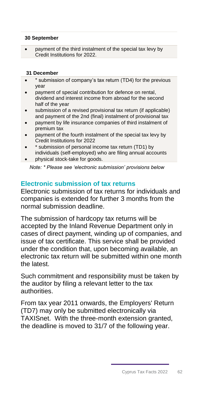## **30 September**

• payment of the third instalment of the special tax levy by Credit Institutions for 2022.

## **31 December**

- \* submission of company's tax return (TD4) for the previous year
- payment of special contribution for defence on rental. dividend and interest income from abroad for the second half of the year
- submission of a revised provisional tax return (if applicable) and payment of the 2nd (final) instalment of provisional tax
- payment by life insurance companies of third instalment of premium tax
- payment of the fourth instalment of the special tax levy by Credit Institutions for 2022
- \* submission of personal income tax return (TD1) by individuals (self-employed) who are filing annual accounts
- physical stock-take for goods.

*Note: \* Please see 'electronic submission' provisions below*

## <span id="page-62-0"></span>**Electronic submission of tax returns**

Electronic submission of tax returns for individuals and companies is extended for further 3 months from the normal submission deadline.

The submission of hardcopy tax returns will be accepted by the Inland Revenue Department only in cases of direct payment, winding up of companies, and issue of tax certificate. This service shall be provided under the condition that, upon becoming available, an electronic tax return will be submitted within one month the latest.

Such commitment and responsibility must be taken by the auditor by filing a relevant letter to the tax authorities.

From tax year 2011 onwards, the Employers' Return (TD7) may only be submitted electronically via TAXISnet. With the three-month extension granted, the deadline is moved to 31/7 of the following year.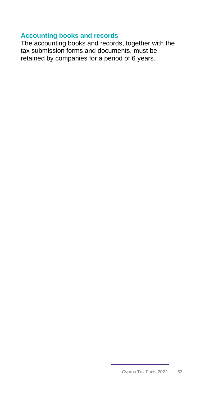## <span id="page-63-0"></span>**Accounting books and records**

The accounting books and records, together with the tax submission forms and documents, must be retained by companies for a period of 6 years.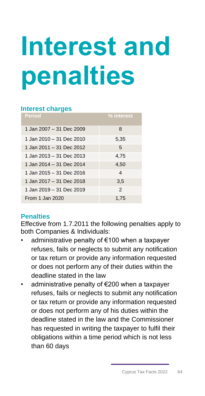# <span id="page-64-0"></span>**Interest and penalties**

## **Interest charges**

| <b>Period</b>            | % interest     |
|--------------------------|----------------|
| 1 Jan 2007 - 31 Dec 2009 | 8              |
| 1 Jan 2010 - 31 Dec 2010 | 5,35           |
| 1 Jan 2011 - 31 Dec 2012 | 5              |
| 1 Jan 2013 - 31 Dec 2013 | 4,75           |
| 1 Jan 2014 - 31 Dec 2014 | 4,50           |
| 1 Jan 2015 - 31 Dec 2016 | 4              |
| 1 Jan 2017 - 31 Dec 2018 | 3,5            |
| 1 Jan 2019 - 31 Dec 2019 | $\overline{2}$ |
| From 1 Jan 2020          | 1.75           |

## **Penalties**

Effective from 1.7.2011 the following penalties apply to both Companies & Individuals:

- administrative penalty of €100 when a taxpayer refuses, fails or neglects to submit any notification or tax return or provide any information requested or does not perform any of their duties within the deadline stated in the law
- administrative penalty of €200 when a taxpayer refuses, fails or neglects to submit any notification or tax return or provide any information requested or does not perform any of his duties within the deadline stated in the law and the Commissioner has requested in writing the taxpayer to fulfil their obligations within a time period which is not less than 60 days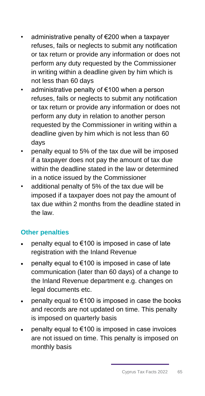- administrative penalty of €200 when a taxpayer refuses, fails or neglects to submit any notification or tax return or provide any information or does not perform any duty requested by the Commissioner in writing within a deadline given by him which is not less than 60 days
- administrative penalty of €100 when a person refuses, fails or neglects to submit any notification or tax return or provide any information or does not perform any duty in relation to another person requested by the Commissioner in writing within a deadline given by him which is not less than 60 days
- penalty equal to 5% of the tax due will be imposed if a taxpayer does not pay the amount of tax due within the deadline stated in the law or determined in a notice issued by the Commissioner
- additional penalty of 5% of the tax due will be imposed if a taxpayer does not pay the amount of tax due within 2 months from the deadline stated in the law.

## **Other penalties**

- penalty equal to  $€100$  is imposed in case of late registration with the Inland Revenue
- penalty equal to €100 is imposed in case of late communication (later than 60 days) of a change to the Inland Revenue department e.g. changes on legal documents etc.
- penalty equal to  $€100$  is imposed in case the books and records are not updated on time. This penalty is imposed on quarterly basis
- penalty equal to  $€100$  is imposed in case invoices are not issued on time. This penalty is imposed on monthly basis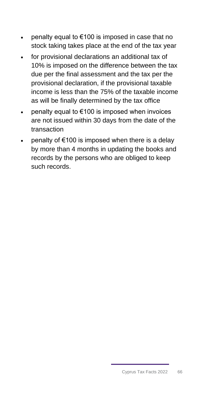- penalty equal to  $€100$  is imposed in case that no stock taking takes place at the end of the tax year
- for provisional declarations an additional tax of 10% is imposed on the difference between the tax due per the final assessment and the tax per the provisional declaration, if the provisional taxable income is less than the 75% of the taxable income as will be finally determined by the tax office
- penalty equal to  $€100$  is imposed when invoices are not issued within 30 days from the date of the transaction
- penalty of  $€100$  is imposed when there is a delay by more than 4 months in updating the books and records by the persons who are obliged to keep such records.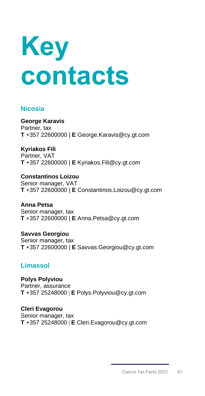<span id="page-67-0"></span>

## **Nicosia**

**George Karavis**  Partner, tax **T** +357 22600000 | **E** George.Karavis@cy.gt.com

**Kyriakos Fili**  Partner, VAT **T** +357 22600000 | **E** [Kyriakos.Fili@cy.gt.com](mailto:Kyriakos.Fili@cy.gt.com)

**Constantinos Loizou**  Senior manager, VAT **T** +357 22600000 | **E** Constantinos.Loizou@cy.gt.com

**Anna Petsa**  Senior manager, tax **T** +357 22600000 | **E** Anna.Petsa@cy.gt.com

**Savvas Georgiou**  Senior manager, tax **T** +357 22600000 | **E** Savvas.Georgiou@cy.gt.com

## **Limassol**

**Polys Polyviou** Partner, assurance **T** +357 25248000 | **E** Polys.Polyviou@cy.gt.com

**Cleri Evagorou**  Senior manager, tax **T** +357 25248000 | **E** Cleri.Evagorou@cy.gt.com